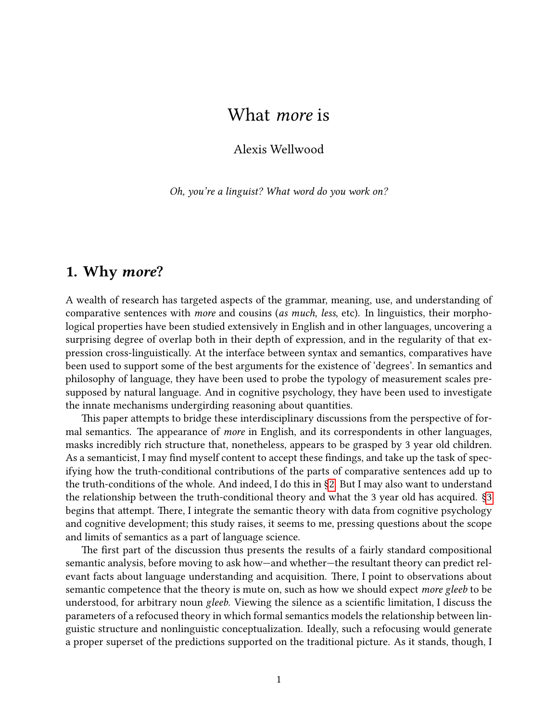# <span id="page-0-0"></span>What more is

## Alexis Wellwood

Oh, you're a linguist? What word do you work on?

## 1. Why more?

A wealth of research has targeted aspects of the grammar, meaning, use, and understanding of comparative sentences with more and cousins (as much, less, etc). In linguistics, their morphological properties have been studied extensively in English and in other languages, uncovering a surprising degree of overlap both in their depth of expression, and in the regularity of that expression cross-linguistically. At the interface between syntax and semantics, comparatives have been used to support some of the best arguments for the existence of 'degrees'. In semantics and philosophy of language, they have been used to probe the typology of measurement scales presupposed by natural language. And in cognitive psychology, they have been used to investigate the innate mechanisms undergirding reasoning about quantities.

This paper attempts to bridge these interdisciplinary discussions from the perspective of formal semantics. The appearance of *more* in English, and its correspondents in other languages, masks incredibly rich structure that, nonetheless, appears to be grasped by 3 year old children. As a semanticist, I may find myself content to accept these findings, and take up the task of specifying how the truth-conditional contributions of the parts of comparative sentences add up to the truth-conditions of the whole. And indeed, I do this in [§2.](#page-1-0) But I may also want to understand the relationship between the truth-conditional theory and what the 3 year old has acquired. [§3](#page-13-0) begins that attempt. There, I integrate the semantic theory with data from cognitive psychology and cognitive development; this study raises, it seems to me, pressing questions about the scope and limits of semantics as a part of language science.

The first part of the discussion thus presents the results of a fairly standard compositional semantic analysis, before moving to ask how—and whether—the resultant theory can predict relevant facts about language understanding and acquisition. There, I point to observations about semantic competence that the theory is mute on, such as how we should expect more gleeb to be understood, for arbitrary noun *gleeb*. Viewing the silence as a scientific limitation, I discuss the parameters of a refocused theory in which formal semantics models the relationship between linguistic structure and nonlinguistic conceptualization. Ideally, such a refocusing would generate a proper superset of the predictions supported on the traditional picture. As it stands, though, I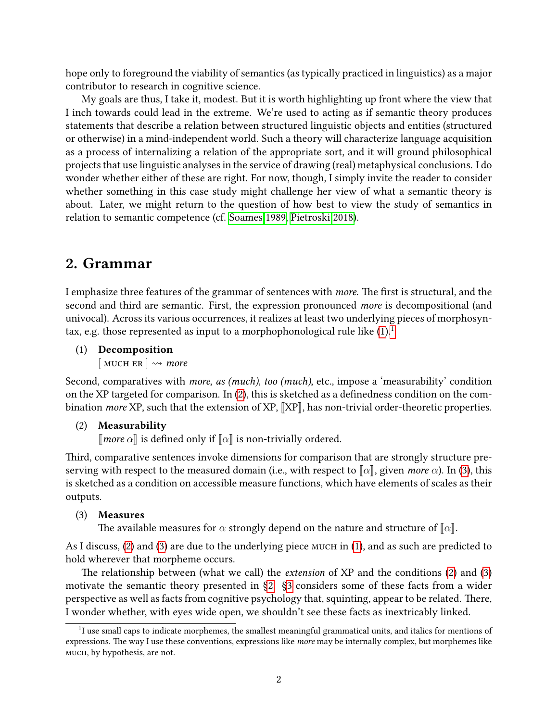hope only to foreground the viability of semantics (as typically practiced in linguistics) as a major contributor to research in cognitive science.

My goals are thus, I take it, modest. But it is worth highlighting up front where the view that I inch towards could lead in the extreme. We're used to acting as if semantic theory produces statements that describe a relation between structured linguistic objects and entities (structured or otherwise) in a mind-independent world. Such a theory will characterize language acquisition as a process of internalizing a relation of the appropriate sort, and it will ground philosophical projects that use linguistic analyses in the service of drawing (real) metaphysical conclusions. I do wonder whether either of these are right. For now, though, I simply invite the reader to consider whether something in this case study might challenge her view of what a semantic theory is about. Later, we might return to the question of how best to view the study of semantics in relation to semantic competence (cf. [Soames 1989,](#page-28-0) [Pietroski 2018\)](#page-27-0).

## <span id="page-1-0"></span>2. Grammar

I emphasize three features of the grammar of sentences with more. The first is structural, and the second and third are semantic. First, the expression pronounced more is decompositional (and univocal). Across its various occurrences, it realizes at least two underlying pieces of morphosyntax, e.g. those represented as input to a morphophonological rule like  $(1)$ .<sup>[1](#page-0-0)</sup>

### <span id="page-1-1"></span>(1) Decomposition

 $\lceil$  MUCH ER  $\rceil \rightsquigarrow$  more

Second, comparatives with *more, as (much), too (much)*, etc., impose a 'measurability' condition on the XP targeted for comparison. In  $(2)$ , this is sketched as a definedness condition on the combination *more* XP, such that the extension of XP,  $\llbracket XP \rrbracket$ , has non-trivial order-theoretic properties.

### <span id="page-1-2"></span>(2) Measurability

 $\llbracket$  more  $\alpha\rrbracket$  is defined only if  $\llbracket \alpha\rrbracket$  is non-trivially ordered.

Third, comparative sentences invoke dimensions for comparison that are strongly structure preserving with respect to the measured domain (i.e., with respect to  $\lbrack \lbrack \alpha \rbrack$ , given more  $\alpha$ ). In [\(3\)](#page-1-3), this is sketched as a condition on accessible measure functions, which have elements of scales as their outputs.

### <span id="page-1-3"></span>(3) Measures

The available measures for  $\alpha$  strongly depend on the nature and structure of  $\alpha$ .

As I discuss, [\(2\)](#page-1-2) and [\(3\)](#page-1-3) are due to the underlying piece MUCH in [\(1\)](#page-1-1), and as such are predicted to hold wherever that morpheme occurs.

The relationship between (what we call) the *extension* of  $XP$  and the conditions [\(2\)](#page-1-2) and [\(3\)](#page-1-3) motivate the semantic theory presented in [§2.](#page-1-0) [§3](#page-13-0) considers some of these facts from a wider perspective as well as facts from cognitive psychology that, squinting, appear to be related. There, I wonder whether, with eyes wide open, we shouldn't see these facts as inextricably linked.

<sup>&</sup>lt;sup>1</sup>I use small caps to indicate morphemes, the smallest meaningful grammatical units, and italics for mentions of expressions. The way I use these conventions, expressions like more may be internally complex, but morphemes like much, by hypothesis, are not.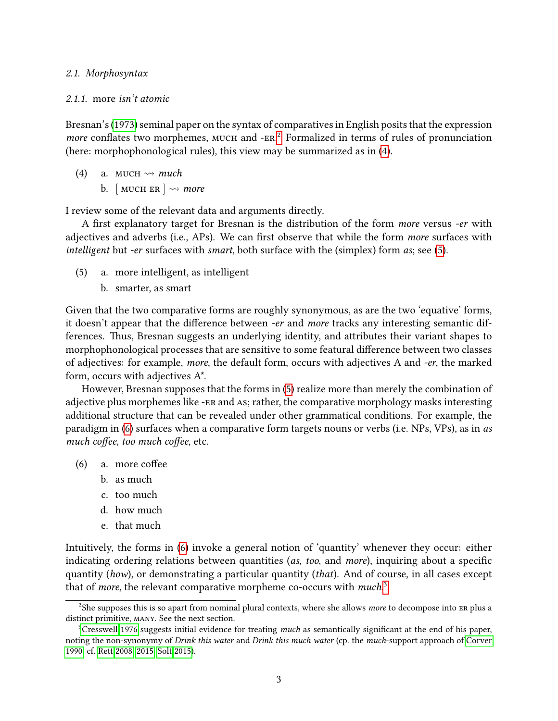2.1. Morphosyntax

### 2.1.1. more isn't atomic

Bresnan's [\(1973\)](#page-24-0) seminal paper on the syntax of comparatives in English posits that the expression more conflates two morphemes, MUCH and -ER.<sup>[2](#page-0-0)</sup> Formalized in terms of rules of pronunciation (here: morphophonological rules), this view may be summarized as in [\(4\)](#page-2-0).

<span id="page-2-0"></span>(4) a. MUCH  $\rightsquigarrow$  much b. [MUCH ER ]  $\rightsquigarrow$  more

I review some of the relevant data and arguments directly.

A first explanatory target for Bresnan is the distribution of the form more versus -er with adjectives and adverbs (i.e., APs). We can first observe that while the form more surfaces with intelligent but -er surfaces with smart, both surface with the (simplex) form as; see [\(5\)](#page-2-1).

- <span id="page-2-1"></span>(5) a. more intelligent, as intelligent
	- b. smarter, as smart

Given that the two comparative forms are roughly synonymous, as are the two 'equative' forms, it doesn't appear that the difference between -er and more tracks any interesting semantic differences. Thus, Bresnan suggests an underlying identity, and attributes their variant shapes to morphophonological processes that are sensitive to some featural difference between two classes of adjectives: for example, more, the default form, occurs with adjectives A and -er, the marked form, occurs with adjectives A\*.

However, Bresnan supposes that the forms in [\(5\)](#page-2-1) realize more than merely the combination of adjective plus morphemes like -er and as; rather, the comparative morphology masks interesting additional structure that can be revealed under other grammatical conditions. For example, the paradigm in [\(6\)](#page-2-2) surfaces when a comparative form targets nouns or verbs (i.e. NPs, VPs), as in as much coffee, too much coffee, etc.

- $(6)$  a. more coffee
	- b. as much
	- c. too much
	- d. how much
	- e. that much

<span id="page-2-2"></span>Intuitively, the forms in [\(6\)](#page-2-2) invoke a general notion of 'quantity' whenever they occur: either indicating ordering relations between quantities ( $as, too, and more$ ), inquiring about a specific quantity (how), or demonstrating a particular quantity (that). And of course, in all cases except that of *more*, the relevant comparative morpheme co-occurs with *much*.<sup>[3](#page-0-0)</sup>

<sup>&</sup>lt;sup>2</sup>She supposes this is so apart from nominal plural contexts, where she allows *more* to decompose into ER plus a distinct primitive, many. See the next section.

 $3C$ resswell 1976 suggests initial evidence for treating *much* as semantically significant at the end of his paper, noting the non-synonymy of Drink this water and Drink this much water (cp. the much-support approach of [Corver](#page-24-1) [1990;](#page-24-1) cf. Rett 2008, [2015,](#page-28-2) [Solt 2015\)](#page-28-3).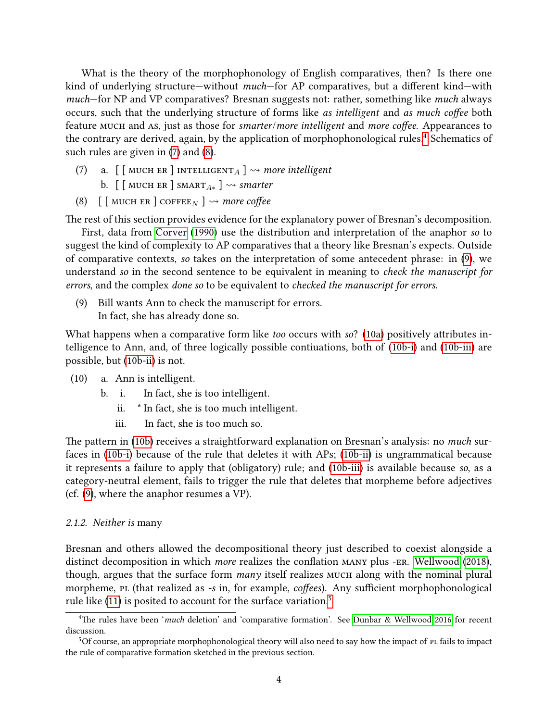What is the theory of the morphophonology of English comparatives, then? Is there one kind of underlying structure—without *much*—for AP comparatives, but a different kind—with much–for NP and VP comparatives? Bresnan suggests not: rather, something like much always occurs, such that the underlying structure of forms like as intelligent and as much coffee both feature MUCH and As, just as those for smarter/more intelligent and more coffee. Appearances to the contrary are derived, again, by the application of morphophonological rules.<sup>[4](#page-0-0)</sup> Schematics of such rules are given in [\(7\)](#page-3-0) and [\(8\)](#page-3-1).

- <span id="page-3-0"></span>(7) a.  $\lceil \int$  MUCH ER ] INTELLIGENT  $_A$  ]  $\rightsquigarrow$  more intelligent
	- b.  $\left[\right]$  MUCH ER  $\left]$  SMART<sub>A\*</sub>  $\right] \rightsquigarrow$  smarter
- <span id="page-3-1"></span>(8)  $\lceil$  [ MUCH ER ] COFFEE<sub>N</sub> ]  $\rightsquigarrow$  more coffee

The rest of this section provides evidence for the explanatory power of Bresnan's decomposition.

First, data from [Corver](#page-24-1) [\(1990\)](#page-24-1) use the distribution and interpretation of the anaphor so to suggest the kind of complexity to AP comparatives that a theory like Bresnan's expects. Outside of comparative contexts, so takes on the interpretation of some antecedent phrase: in [\(9\)](#page-3-2), we understand so in the second sentence to be equivalent in meaning to check the manuscript for errors, and the complex done so to be equivalent to checked the manuscript for errors.

<span id="page-3-2"></span>(9) Bill wants Ann to check the manuscript for errors. In fact, she has already done so.

What happens when a comparative form like too occurs with so? [\(10a\)](#page-3-3) positively attributes intelligence to Ann, and, of three logically possible contiuations, both of [\(10b-i\)](#page-3-4) and [\(10b-iii\)](#page-3-5) are possible, but [\(10b-ii\)](#page-3-6) is not.

- <span id="page-3-6"></span><span id="page-3-4"></span><span id="page-3-3"></span>(10) a. Ann is intelligent.
	- b. i. In fact, she is too intelligent.
		- ii. \* In fact, she is too much intelligent.
		- iii. In fact, she is too much so.

<span id="page-3-5"></span>The pattern in [\(10b\)](#page-3-5) receives a straightforward explanation on Bresnan's analysis: no *much* surfaces in [\(10b-i\)](#page-3-4) because of the rule that deletes it with APs; [\(10b-ii\)](#page-3-6) is ungrammatical because it represents a failure to apply that (obligatory) rule; and [\(10b-iii\)](#page-3-5) is available because so, as a category-neutral element, fails to trigger the rule that deletes that morpheme before adjectives (cf. [\(9\)](#page-3-2), where the anaphor resumes a VP).

### 2.1.2. Neither is many

Bresnan and others allowed the decompositional theory just described to coexist alongside a distinct decomposition in which *more* realizes the conflation MANY plus -ER. [Wellwood](#page-29-0) [\(2018\)](#page-29-0), though, argues that the surface form many itself realizes MUCH along with the nominal plural morpheme, pl (that realized as -s in, for example, *coffees*). Any sufficient morphophonological rule like  $(11)$  is posited to account for the surface variation.<sup>[5](#page-0-0)</sup>

<sup>&</sup>lt;sup>4</sup>The rules have been 'much deletion' and 'comparative formation'. See [Dunbar & Wellwood 2016](#page-25-1) for recent discussion.

 $5$ Of course, an appropriate morphophonological theory will also need to say how the impact of  $P$  fails to impact the rule of comparative formation sketched in the previous section.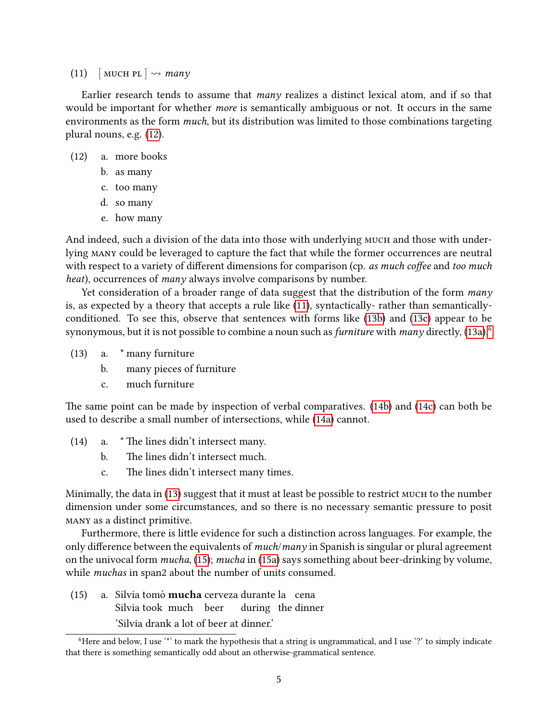<span id="page-4-0"></span>(11) [MUCH PL  $\sim$  many

Earlier research tends to assume that many realizes a distinct lexical atom, and if so that would be important for whether *more* is semantically ambiguous or not. It occurs in the same environments as the form much, but its distribution was limited to those combinations targeting plural nouns, e.g. [\(12\)](#page-4-1).

- (12) a. more books
	- b. as many
	- c. too many
	- d. so many
	- e. how many

<span id="page-4-1"></span>And indeed, such a division of the data into those with underlying MUCH and those with underlying many could be leveraged to capture the fact that while the former occurrences are neutral with respect to a variety of different dimensions for comparison (cp. as much coffee and too much heat), occurrences of *many* always involve comparisons by number.

Yet consideration of a broader range of data suggest that the distribution of the form many is, as expected by a theory that accepts a rule like [\(11\)](#page-4-0), syntactically- rather than semanticallyconditioned. To see this, observe that sentences with forms like [\(13b\)](#page-4-2) and [\(13c\)](#page-4-3) appear to be synonymous, but it is not possible to combine a noun such as *furniture* with *many* directly,  $(13a)$ <sup>[6](#page-0-0)</sup>

- <span id="page-4-4"></span><span id="page-4-2"></span>(13) a. \* many furniture
	- b. many pieces of furniture
	- c. much furniture

<span id="page-4-3"></span>The same point can be made by inspection of verbal comparatives. [\(14b\)](#page-4-5) and [\(14c\)](#page-4-6) can both be used to describe a small number of intersections, while [\(14a\)](#page-4-7) cannot.

- <span id="page-4-7"></span><span id="page-4-6"></span><span id="page-4-5"></span> $(14)$  a. \* The lines didn't intersect many.
	- b. The lines didn't intersect much.
	- c. The lines didn't intersect many times.

Minimally, the data in [\(13\)](#page-4-4) suggest that it must at least be possible to restrict MUCH to the number dimension under some circumstances, and so there is no necessary semantic pressure to posit many as a distinct primitive.

Furthermore, there is little evidence for such a distinction across languages. For example, the only difference between the equivalents of  $much/many$  in Spanish is singular or plural agreement on the univocal form mucha, [\(15\)](#page-5-0); mucha in [\(15a\)](#page-4-8) says something about beer-drinking by volume, while muchas in span2 about the number of units consumed.

<span id="page-4-8"></span>(15) a. Silvia tomó **mucha** cerveza durante la cena Silvia took much beer during the dinner 'Silvia drank a lot of beer at dinner.'

<sup>&</sup>lt;sup>6</sup>Here and below, I use '\*' to mark the hypothesis that a string is ungrammatical, and I use '?' to simply indicate that there is something semantically odd about an otherwise-grammatical sentence.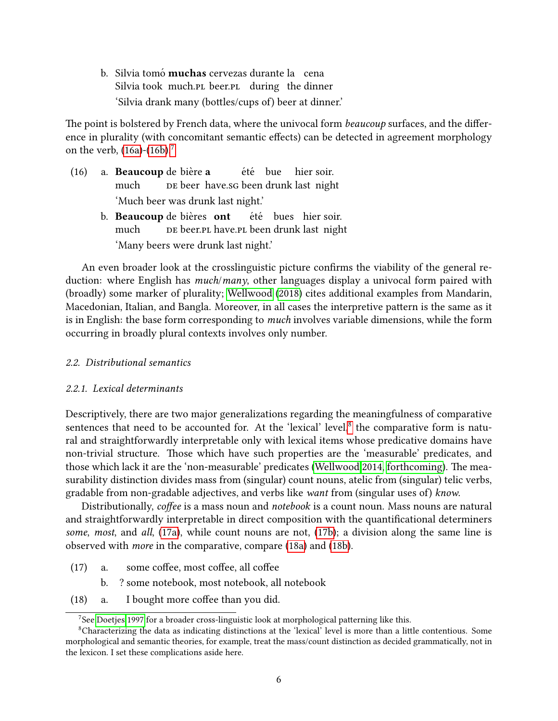<span id="page-5-0"></span>b. Silvia tomó **muchas** cervezas durante la cena Silvia took much.pl beer.pl during the dinner 'Silvia drank many (bottles/cups of) beer at dinner.'

The point is bolstered by French data, where the univocal form *beaucoup* surfaces, and the difference in plurality (with concomitant semantic effects) can be detected in agreement morphology on the verb,  $(16a)-(16b)^7$  $(16a)-(16b)^7$  $(16a)-(16b)^7$  $(16a)-(16b)^7$  $(16a)-(16b)^7$ 

- <span id="page-5-2"></span><span id="page-5-1"></span> $(16)$  a. **Beaucoup** de bière a much pe beer have.sg been drunk last night été bue hier soir. 'Much beer was drunk last night.'
	- b. Beaucoup de bières ont much de beer.pl have.pl been drunk last night été bues hier soir. 'Many beers were drunk last night.'

An even broader look at the crosslinguistic picture confirms the viability of the general reduction: where English has *much/many*, other languages display a univocal form paired with (broadly) some marker of plurality; [Wellwood](#page-29-0) [\(2018\)](#page-29-0) cites additional examples from Mandarin, Macedonian, Italian, and Bangla. Moreover, in all cases the interpretive pattern is the same as it is in English: the base form corresponding to *much* involves variable dimensions, while the form occurring in broadly plural contexts involves only number.

### 2.2. Distributional semantics

### 2.2.1. Lexical determinants

Descriptively, there are two major generalizations regarding the meaningfulness of comparative sentences that need to be accounted for. At the 'lexical' level.<sup>[8](#page-0-0)</sup> the comparative form is natural and straightforwardly interpretable only with lexical items whose predicative domains have non-trivial structure. Those which have such properties are the 'measurable' predicates, and those which lack it are the 'non-measurable' predicates [\(Wellwood 2014,](#page-29-1) [forthcoming\)](#page-29-2). The measurability distinction divides mass from (singular) count nouns, atelic from (singular) telic verbs, gradable from non-gradable adjectives, and verbs like want from (singular uses of) know.

Distributionally, coffee is a mass noun and notebook is a count noun. Mass nouns are natural and straightforwardly interpretable in direct composition with the quantificational determiners some, most, and all, [\(17a\)](#page-5-3), while count nouns are not, [\(17b\)](#page-5-4); a division along the same line is observed with more in the comparative, compare [\(18a\)](#page-5-5) and [\(18b\)](#page-6-0).

- <span id="page-5-4"></span><span id="page-5-3"></span> $(17)$  a. some coffee, most coffee, all coffee
	- b. ? some notebook, most notebook, all notebook
- <span id="page-5-5"></span> $(18)$  a. I bought more coffee than you did.

 $7$ See [Doetjes 1997](#page-25-2) for a broader cross-linguistic look at morphological patterning like this.

<sup>&</sup>lt;sup>8</sup>Characterizing the data as indicating distinctions at the 'lexical' level is more than a little contentious. Some morphological and semantic theories, for example, treat the mass/count distinction as decided grammatically, not in the lexicon. I set these complications aside here.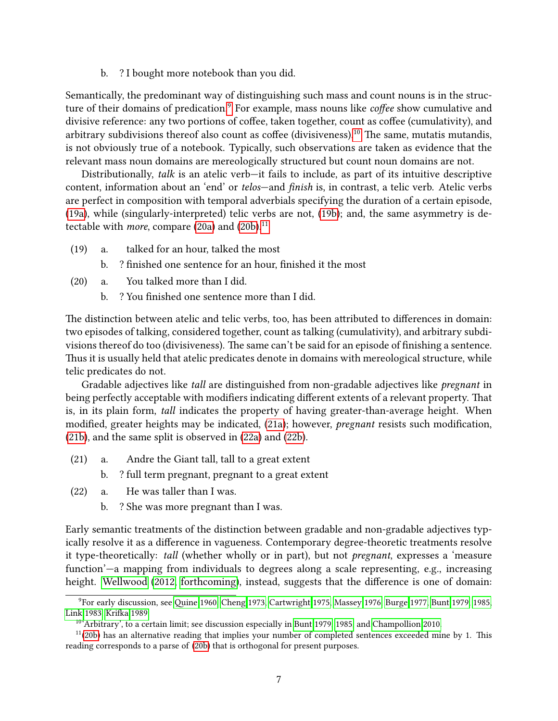b. ? I bought more notebook than you did.

<span id="page-6-0"></span>Semantically, the predominant way of distinguishing such mass and count nouns is in the struc-ture of their domains of predication.<sup>[9](#page-0-0)</sup> For example, mass nouns like *coffee* show cumulative and divisive reference: any two portions of coffee, taken together, count as coffee (cumulativity), and arbitrary subdivisions thereof also count as coffee (divisiveness).<sup>[10](#page-0-0)</sup> The same, mutatis mutandis, is not obviously true of a notebook. Typically, such observations are taken as evidence that the relevant mass noun domains are mereologically structured but count noun domains are not.

Distributionally, talk is an atelic verb—it fails to include, as part of its intuitive descriptive content, information about an 'end' or telos-and finish is, in contrast, a telic verb. Atelic verbs are perfect in composition with temporal adverbials specifying the duration of a certain episode, [\(19a\)](#page-6-1), while (singularly-interpreted) telic verbs are not, [\(19b\)](#page-6-2); and, the same asymmetry is detectable with *more*, compare  $(20a)$  and  $(20b)$ .<sup>[11](#page-0-0)</sup>

- <span id="page-6-2"></span><span id="page-6-1"></span>(19) a. talked for an hour, talked the most
	- b. ? finished one sentence for an hour, finished it the most
- <span id="page-6-4"></span><span id="page-6-3"></span>(20) a. You talked more than I did.
	- b. ? You finished one sentence more than I did.

The distinction between atelic and telic verbs, too, has been attributed to differences in domain: two episodes of talking, considered together, count as talking (cumulativity), and arbitrary subdivisions thereof do too (divisiveness). The same can't be said for an episode of finishing a sentence. Thus it is usually held that atelic predicates denote in domains with mereological structure, while telic predicates do not.

Gradable adjectives like *tall* are distinguished from non-gradable adjectives like *pregnant* in being perfectly acceptable with modifiers indicating different extents of a relevant property. That is, in its plain form, tall indicates the property of having greater-than-average height. When modified, greater heights may be indicated, [\(21a\)](#page-6-5); however, *pregnant* resists such modification, [\(21b\)](#page-6-6), and the same split is observed in [\(22a\)](#page-6-7) and [\(22b\)](#page-6-8).

- <span id="page-6-6"></span><span id="page-6-5"></span>(21) a. Andre the Giant tall, tall to a great extent
	- b. ? full term pregnant, pregnant to a great extent
- <span id="page-6-8"></span><span id="page-6-7"></span>(22) a. He was taller than I was.
	- b. ? She was more pregnant than I was.

Early semantic treatments of the distinction between gradable and non-gradable adjectives typically resolve it as a difference in vagueness. Contemporary degree-theoretic treatments resolve it type-theoretically: tall (whether wholly or in part), but not pregnant, expresses a 'measure function'—a mapping from individuals to degrees along a scale representing, e.g., increasing height. [Wellwood](#page-29-3) [\(2012,](#page-29-3) [forthcoming\)](#page-29-2), instead, suggests that the difference is one of domain:

 $9$ For early discussion, see Quine 1960, [Cheng 1973,](#page-24-2) [Cartwright 1975,](#page-24-3) [Massey 1976,](#page-26-0) [Burge 1977,](#page-24-4) [Bunt 1979,](#page-24-5) [1985,](#page-24-6) [Link 1983,](#page-26-1) Krifka 1989.

 $10<sup>6</sup>$ Arbitrary', to a certain limit; see discussion especially in [Bunt 1979,](#page-24-5) [1985,](#page-24-6) and [Champollion 2010.](#page-24-7)

 $11(20b)$  $11(20b)$  has an alternative reading that implies your number of completed sentences exceeded mine by 1. This reading corresponds to a parse of [\(20b\)](#page-6-4) that is orthogonal for present purposes.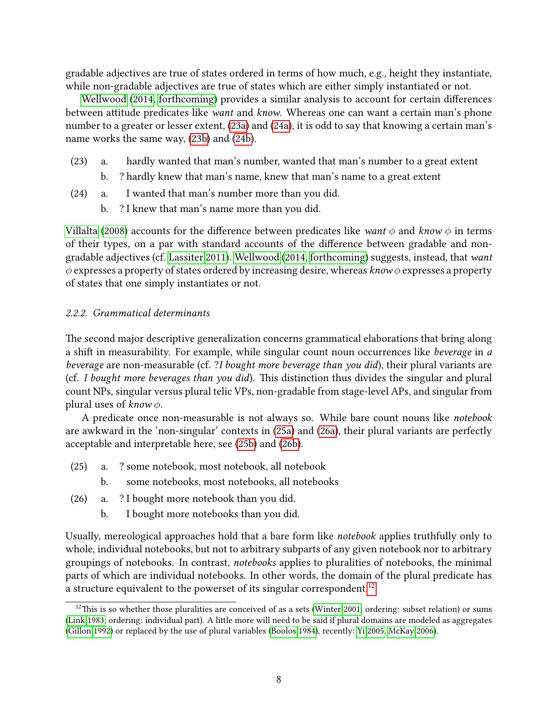gradable adjectives are true of states ordered in terms of how much, e.g., height they instantiate, while non-gradable adjectives are true of states which are either simply instantiated or not.

[Wellwood](#page-29-1) [\(2014,](#page-29-1) [forthcoming\)](#page-29-2) provides a similar analysis to account for certain differences between attitude predicates like *want* and *know*. Whereas one can want a certain man's phone number to a greater or lesser extent, [\(23a\)](#page-7-0) and [\(24a\)](#page-7-1), it is odd to say that knowing a certain man's name works the same way, [\(23b\)](#page-7-2) and [\(24b\)](#page-7-3).

- <span id="page-7-2"></span><span id="page-7-0"></span>(23) a. hardly wanted that man's number, wanted that man's number to a great extent
	- b. ? hardly knew that man's name, knew that man's name to a great extent
- <span id="page-7-3"></span><span id="page-7-1"></span>(24) a. I wanted that man's number more than you did.
	- b. ? I knew that man's name more than you did.

[Villalta](#page-29-4) [\(2008\)](#page-29-4) accounts for the difference between predicates like want  $\phi$  and know  $\phi$  in terms of their types, on a par with standard accounts of the difference between gradable and nongradable adjectives (cf. [Lassiter 2011\)](#page-26-3). [Wellwood](#page-29-1) [\(2014,](#page-29-1) [forthcoming\)](#page-29-2) suggests, instead, that want  $\phi$  expresses a property of states ordered by increasing desire, whereas know  $\phi$  expresses a property of states that one simply instantiates or not.

## 2.2.2. Grammatical determinants

The second major descriptive generalization concerns grammatical elaborations that bring along a shift in measurability. For example, while singular count noun occurrences like beverage in a beverage are non-measurable (cf. ?I bought more beverage than you did), their plural variants are (cf. I bought more beverages than you did). This distinction thus divides the singular and plural count NPs, singular versus plural telic VPs, non-gradable from stage-level APs, and singular from plural uses of know  $\phi$ .

A predicate once non-measurable is not always so. While bare count nouns like notebook are awkward in the 'non-singular' contexts in [\(25a\)](#page-7-4) and [\(26a\)](#page-7-5), their plural variants are perfectly acceptable and interpretable here, see [\(25b\)](#page-7-6) and [\(26b\)](#page-7-7).

- <span id="page-7-6"></span><span id="page-7-4"></span>(25) a. ? some notebook, most notebook, all notebook
	- b. some notebooks, most notebooks, all notebooks
- <span id="page-7-7"></span><span id="page-7-5"></span>(26) a. ? I bought more notebook than you did.
	- b. I bought more notebooks than you did.

Usually, mereological approaches hold that a bare form like notebook applies truthfully only to whole, individual notebooks, but not to arbitrary subparts of any given notebook nor to arbitrary groupings of notebooks. In contrast, notebooks applies to pluralities of notebooks, the minimal parts of which are individual notebooks. In other words, the domain of the plural predicate has a structure equivalent to the powerset of its singular correspondent.<sup>[12](#page-0-0)</sup>

 $12$ This is so whether those pluralities are conceived of as a sets [\(Winter 2001;](#page-30-0) ordering: subset relation) or sums [\(Link 1983;](#page-26-1) ordering: individual part). A little more will need to be said if plural domains are modeled as aggregates [\(Gillon 1992\)](#page-25-3) or replaced by the use of plural variables [\(Boolos 1984\)](#page-24-8), recently: [Yi 2005,](#page-30-1) [McKay 2006\)](#page-26-4).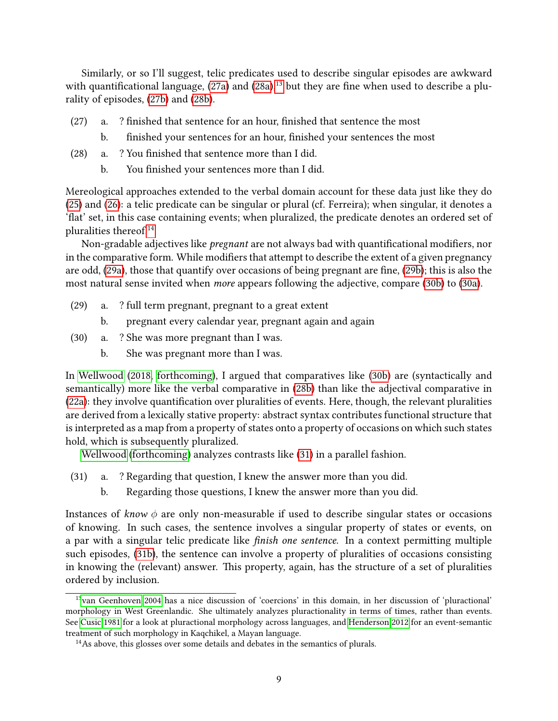Similarly, or so I'll suggest, telic predicates used to describe singular episodes are awkward with quantificational language,  $(27a)$  and  $(28a)$ ,<sup>[13](#page-0-0)</sup> but they are fine when used to describe a plurality of episodes, [\(27b\)](#page-8-2) and [\(28b\)](#page-8-3).

- <span id="page-8-2"></span><span id="page-8-0"></span> $(27)$  a. ? finished that sentence for an hour, finished that sentence the most
	- b. finished your sentences for an hour, finished your sentences the most
- <span id="page-8-3"></span><span id="page-8-1"></span> $(28)$  a. ? You finished that sentence more than I did.
	- b. You finished your sentences more than I did.

Mereological approaches extended to the verbal domain account for these data just like they do [\(25\)](#page-7-4) and [\(26\)](#page-7-5): a telic predicate can be singular or plural (cf. Ferreira); when singular, it denotes a 'flat' set, in this case containing events; when pluralized, the predicate denotes an ordered set of pluralities thereof.[14](#page-0-0)

Non-gradable adjectives like *pregnant* are not always bad with quantificational modifiers, nor in the comparative form. While modifiers that attempt to describe the extent of a given pregnancy are odd, [\(29a\)](#page-8-4), those that quantify over occasions of being pregnant are fine, [\(29b\)](#page-8-5); this is also the most natural sense invited when more appears following the adjective, compare [\(30b\)](#page-8-6) to [\(30a\)](#page-8-7).

- <span id="page-8-5"></span><span id="page-8-4"></span>(29) a. ? full term pregnant, pregnant to a great extent
	- b. pregnant every calendar year, pregnant again and again
- <span id="page-8-7"></span><span id="page-8-6"></span>(30) a. ? She was more pregnant than I was.
	- b. She was pregnant more than I was.

In [Wellwood](#page-29-0) [\(2018,](#page-29-0) [forthcoming\)](#page-29-2), I argued that comparatives like [\(30b\)](#page-8-6) are (syntactically and semantically) more like the verbal comparative in [\(28b\)](#page-8-3) than like the adjectival comparative in  $(22a)$ : they involve quantification over pluralities of events. Here, though, the relevant pluralities are derived from a lexically stative property: abstract syntax contributes functional structure that is interpreted as a map from a property of states onto a property of occasions on which such states hold, which is subsequently pluralized.

[Wellwood](#page-29-2) [\(forthcoming\)](#page-29-2) analyzes contrasts like [\(31\)](#page-8-8) in a parallel fashion.

- <span id="page-8-9"></span><span id="page-8-8"></span>(31) a. ? Regarding that question, I knew the answer more than you did.
	- b. Regarding those questions, I knew the answer more than you did.

Instances of know  $\phi$  are only non-measurable if used to describe singular states or occasions of knowing. In such cases, the sentence involves a singular property of states or events, on a par with a singular telic predicate like *finish one sentence*. In a context permitting multiple such episodes, [\(31b\)](#page-8-9), the sentence can involve a property of pluralities of occasions consisting in knowing the (relevant) answer. This property, again, has the structure of a set of pluralities ordered by inclusion.

<sup>13</sup>[van Geenhoven 2004](#page-25-4) has a nice discussion of 'coercions' in this domain, in her discussion of 'pluractional' morphology in West Greenlandic. She ultimately analyzes pluractionality in terms of times, rather than events. See [Cusic 1981](#page-25-5) for a look at pluractional morphology across languages, and [Henderson 2012](#page-25-6) for an event-semantic treatment of such morphology in Kaqchikel, a Mayan language.

 $14$ As above, this glosses over some details and debates in the semantics of plurals.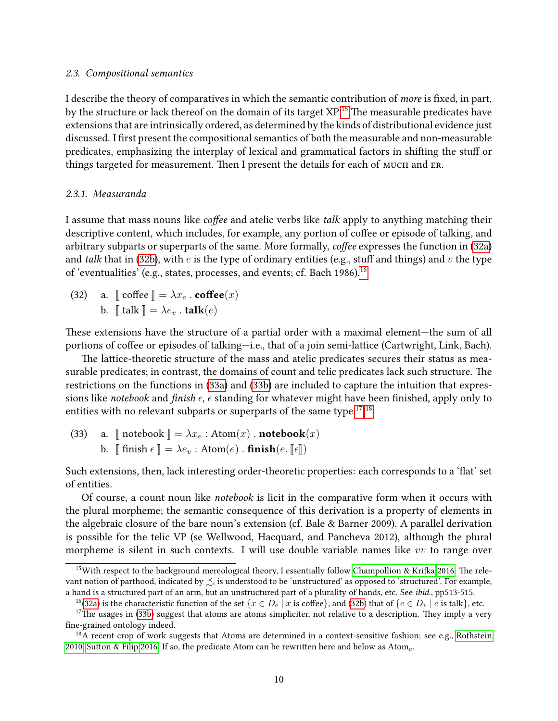### 2.3. Compositional semantics

I describe the theory of comparatives in which the semantic contribution of *more* is fixed, in part, by the structure or lack thereof on the domain of its target  $XP$ .<sup>[15](#page-0-0)</sup> The measurable predicates have extensions that are intrinsically ordered, as determined by the kinds of distributional evidence just discussed. I first present the compositional semantics of both the measurable and non-measurable predicates, emphasizing the interplay of lexical and grammatical factors in shifting the stuff or things targeted for measurement. Then I present the details for each of MUCH and ER.

### 2.3.1. Measuranda

I assume that mass nouns like *coffee* and atelic verbs like *talk* apply to anything matching their descriptive content, which includes, for example, any portion of coffee or episode of talking, and arbitrary subparts or superparts of the same. More formally, *coffee* expresses the function in [\(32a\)](#page-9-0) and talk that in [\(32b\)](#page-9-1), with  $e$  is the type of ordinary entities (e.g., stuff and things) and  $v$  the type of 'eventualities' (e.g., states, processes, and events; cf. Bach 1986).[16](#page-0-0)

<span id="page-9-1"></span><span id="page-9-0"></span>(32) a.  $\lbrack \lbrack \rbrack$  coffee  $\lbrack \rbrack = \lambda x_e$  . **coffee** $(x)$ b.  $\mathbb{I}$  talk  $\mathbb{I} = \lambda e_v$  . talk $(e)$ 

These extensions have the structure of a partial order with a maximal element—the sum of all portions of coffee or episodes of talking-i.e., that of a join semi-lattice (Cartwright, Link, Bach).

The lattice-theoretic structure of the mass and atelic predicates secures their status as measurable predicates; in contrast, the domains of count and telic predicates lack such structure. The restrictions on the functions in [\(33a\)](#page-9-2) and [\(33b\)](#page-9-3) are included to capture the intuition that expressions like notebook and finish  $\epsilon$ ,  $\epsilon$  standing for whatever might have been finished, apply only to entities with no relevant subparts or superparts of the same type.<sup>[17](#page-0-0),[18](#page-0-0)</sup>

<span id="page-9-3"></span><span id="page-9-2"></span>(33) a. 
$$
\llbracket
$$
 notebook  $\rrbracket = \lambda x_e : Atom(x) . notebook(x) b.  $\llbracket$  finish  $\epsilon \rrbracket = \lambda e_v : Atom(e) . finite(e,  $\llbracket \epsilon \rrbracket$ )$$ 

Such extensions, then, lack interesting order-theoretic properties: each corresponds to a 'flat' set of entities.

Of course, a count noun like notebook is licit in the comparative form when it occurs with the plural morpheme; the semantic consequence of this derivation is a property of elements in the algebraic closure of the bare noun's extension (cf. Bale & Barner 2009). A parallel derivation is possible for the telic VP (se Wellwood, Hacquard, and Pancheva 2012), although the plural morpheme is silent in such contexts. I will use double variable names like  $vv$  to range over

<sup>&</sup>lt;sup>15</sup>With respect to the background mereological theory, I essentially follow Champollion & Krifka 2016. The relevant notion of parthood, indicated by  $\precsim$ , is understood to be 'unstructured' as opposed to 'structured'. For example, a hand is a structured part of an arm, but an unstructured part of a plurality of hands, etc. See ibid., pp513-515.

<sup>&</sup>lt;sup>16</sup>[\(32a\)](#page-9-0) is the characteristic function of the set { $x \in D_e | x$  is coffee}, and [\(32b\)](#page-9-1) that of { $e \in D_v | e$  is talk}, etc.

 $17$ The usages in [\(33b\)](#page-9-3) suggest that atoms are atoms simpliciter, not relative to a description. They imply a very fine-grained ontology indeed.

<sup>&</sup>lt;sup>18</sup>A recent crop of work suggests that Atoms are determined in a context-sensitive fashion; see e.g., [Rothstein](#page-28-5) [2010,](#page-28-5) Sutton & Filip 2016. If so, the predicate Atom can be rewritten here and below as Atom<sub>c</sub>.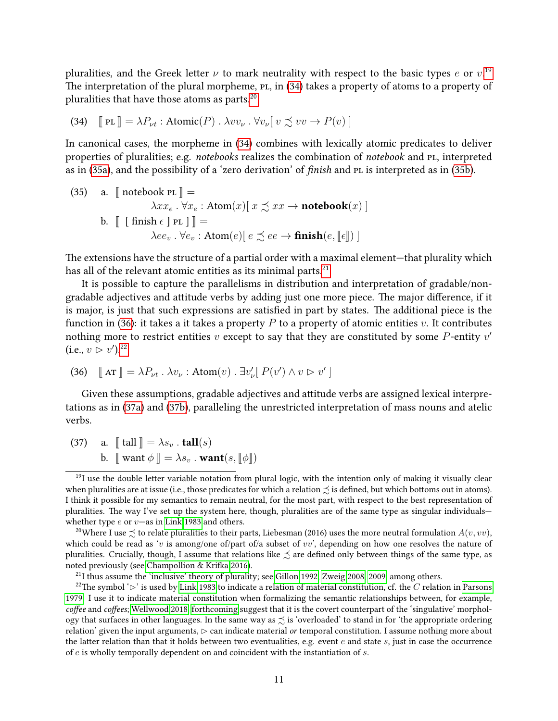pluralities, and the Greek letter  $\nu$  to mark neutrality with respect to the basic types  $e$  or  $v^{19}$  $v^{19}$  $v^{19}$ The interpretation of the plural morpheme,  $PL$ , in  $(34)$  takes a property of atoms to a property of pluralities that have those atoms as parts.<sup>[20](#page-0-0)</sup>

<span id="page-10-0"></span>(34) 
$$
\left[\!\!\left[ \text{ PL} \right] \!\!\right] = \lambda P_{\nu t} : \text{Atomic}(P) \cdot \lambda v v_{\nu} \cdot \forall v_{\nu} \left[ v \precsim v v \rightarrow P(v) \right]
$$

In canonical cases, the morpheme in [\(34\)](#page-10-0) combines with lexically atomic predicates to deliver properties of pluralities; e.g. notebooks realizes the combination of notebook and PL, interpreted as in [\(35a\)](#page-10-1), and the possibility of a 'zero derivation' of finish and PL is interpreted as in [\(35b\)](#page-10-2).

<span id="page-10-2"></span><span id="page-10-1"></span>(35) a. 
$$
\llbracket \text{ notebook PL} \rrbracket = \lambda x x_e \cdot \forall x_e : \text{Atom}(x) \llbracket x \preceq x x \rightarrow \text{notebook}(x) \rrbracket
$$
  
b. 
$$
\llbracket \text{ finish } \epsilon \rrbracket \text{ PL } \rrbracket \rrbracket = \lambda e e_v \cdot \forall e_v : \text{Atom}(e) \llbracket e \preceq e e \rightarrow \text{ finish}(e, \llbracket \epsilon \rrbracket) \rrbracket
$$

The extensions have the structure of a partial order with a maximal element—that plurality which has all of the relevant atomic entities as its minimal parts.<sup>[21](#page-0-0)</sup>

It is possible to capture the parallelisms in distribution and interpretation of gradable/nongradable adjectives and attitude verbs by adding just one more piece. The major difference, if it is major, is just that such expressions are satisfied in part by states. The additional piece is the function in [\(36\)](#page-10-3): it takes a it takes a property  $P$  to a property of atomic entities  $v$ . It contributes nothing more to restrict entities v except to say that they are constituted by some P-entity  $v'$ (i.e.,  $v > v'$ ).<sup>[22](#page-0-0)</sup>

<span id="page-10-3"></span>(36) 
$$
\mathbb{I} \text{AT} \mathbb{I} = \lambda P_{\nu t} \cdot \lambda v_{\nu} : \text{Atom}(v) \cdot \exists v'_{\nu} [ P(v') \wedge v \triangleright v' ]
$$

Given these assumptions, gradable adjectives and attitude verbs are assigned lexical interpretations as in [\(37a\)](#page-10-4) and [\(37b\)](#page-10-5), paralleling the unrestricted interpretation of mass nouns and atelic verbs.

<span id="page-10-5"></span><span id="page-10-4"></span>(37) a.  $\llbracket \text{ tall } \rrbracket = \lambda s_v \cdot \text{tall}(s)$ b.  $\mathbb{I}$  want  $\phi \mathbb{I} = \lambda s_v$ . want $(s, \mathbb{I} \phi \mathbb{I})$ 

 $^{21}$ I thus assume the 'inclusive' theory of plurality; see [Gillon 1992,](#page-25-3) [Zweig 2008,](#page-30-2) [2009,](#page-30-3) among others.

 $19$ I use the double letter variable notation from plural logic, with the intention only of making it visually clear when pluralities are at issue (i.e., those predicates for which a relation  $\precsim$  is defined, but which bottoms out in atoms). I think it possible for my semantics to remain neutral, for the most part, with respect to the best representation of pluralities. The way I've set up the system here, though, pluralities are of the same type as singular individuals whether type  $e$  or  $v$ —as in [Link 1983](#page-26-1) and others.

<sup>&</sup>lt;sup>20</sup>Where I use  $\precsim$  to relate pluralities to their parts, Liebesman (2016) uses the more neutral formulation  $A(v, vv)$ , which could be read as 'v is among/one of/part of/a subset of vv', depending on how one resolves the nature of pluralities. Crucially, though, I assume that relations like  $\precsim$  are defined only between things of the same type, as noted previously (see Champollion & Krifka 2016).

<sup>&</sup>lt;sup>22</sup>The symbol ' $\triangleright$ ' is used by [Link 1983](#page-26-1) to indicate a relation of material constitution, cf. the C relation in [Parsons](#page-27-1) [1979.](#page-27-1) I use it to indicate material constitution when formalizing the semantic relationships between, for example, coffee and coffees; [Wellwood 2018,](#page-29-0) [forthcoming](#page-29-2) suggest that it is the covert counterpart of the 'singulative' morphology that surfaces in other languages. In the same way as  $\precsim$  is 'overloaded' to stand in for 'the appropriate ordering relation' given the input arguments,  $\triangleright$  can indicate material or temporal constitution. I assume nothing more about the latter relation than that it holds between two eventualities, e.g. event  $e$  and state  $s$ , just in case the occurrence of  $e$  is wholly temporally dependent on and coincident with the instantiation of  $s$ .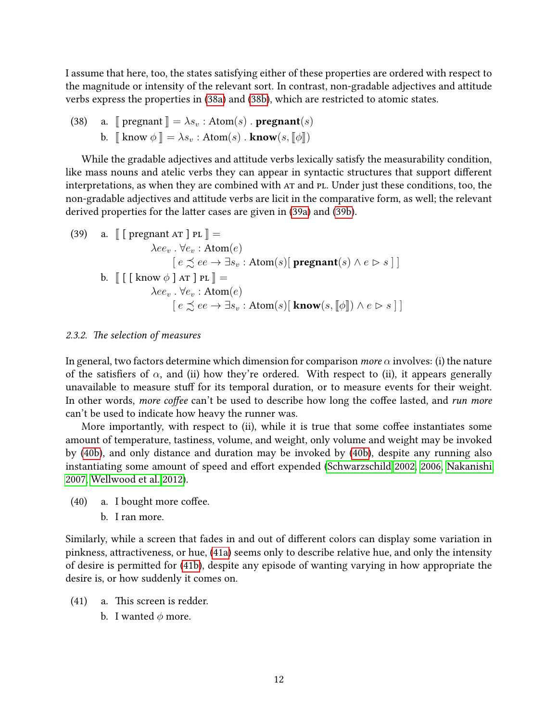I assume that here, too, the states satisfying either of these properties are ordered with respect to the magnitude or intensity of the relevant sort. In contrast, non-gradable adjectives and attitude verbs express the properties in [\(38a\)](#page-11-0) and [\(38b\)](#page-11-1), which are restricted to atomic states.

<span id="page-11-1"></span><span id="page-11-0"></span>(38) a. 
$$
\llbracket
$$
 pregnant  $\rrbracket = \lambda s_v : Atom(s) \cdot \text{pregnant}(s)$   
b.  $\llbracket$  know  $\phi \rrbracket = \lambda s_v : Atom(s) \cdot \text{know}(s, \llbracket \phi \rrbracket)$ 

While the gradable adjectives and attitude verbs lexically satisfy the measurability condition, like mass nouns and atelic verbs they can appear in syntactic structures that support different interpretations, as when they are combined with AT and PL. Under just these conditions, too, the non-gradable adjectives and attitude verbs are licit in the comparative form, as well; the relevant derived properties for the latter cases are given in [\(39a\)](#page-11-2) and [\(39b\)](#page-11-3).

<span id="page-11-3"></span><span id="page-11-2"></span>(39) a. 
$$
\llbracket \text{ [operator AT }] \text{ PL } \rrbracket =
$$

$$
\lambda e e_v \cdot \forall e_v : \text{Atom}(e)
$$

$$
\qquad \qquad [ e \preceq e e \rightarrow \exists s_v : \text{Atom}(s) [\text{ programt}(s) \land e \rhd s ] ]
$$
  
b. 
$$
\llbracket [ \text{ [know } \phi \text{ ] AT }] \text{ PL } \rrbracket =
$$

$$
\lambda e e_v \cdot \forall e_v : \text{Atom}(e)
$$

$$
\qquad \qquad [ e \preceq e e \rightarrow \exists s_v : \text{Atom}(s) [ \text{ know}(s, [\![\phi]\!]) \land e \rhd s ] ] ]
$$

### 2.3.2. The selection of measures

In general, two factors determine which dimension for comparison more  $\alpha$  involves: (i) the nature of the satisfiers of  $\alpha$ , and (ii) how they're ordered. With respect to (ii), it appears generally unavailable to measure stuff for its temporal duration, or to measure events for their weight. In other words, more coffee can't be used to describe how long the coffee lasted, and run more can't be used to indicate how heavy the runner was.

More importantly, with respect to (ii), while it is true that some coffee instantiates some amount of temperature, tastiness, volume, and weight, only volume and weight may be invoked by [\(40b\)](#page-11-4), and only distance and duration may be invoked by [\(40b\)](#page-11-4), despite any running also instantiating some amount of speed and effort expended [\(Schwarzschild 2002,](#page-28-7) [2006,](#page-28-8) [Nakanishi](#page-27-2) [2007,](#page-27-2) [Wellwood et al. 2012\)](#page-29-5).

- <span id="page-11-7"></span><span id="page-11-4"></span> $(40)$  a. I bought more coffee.
	- b. I ran more.

Similarly, while a screen that fades in and out of different colors can display some variation in pinkness, attractiveness, or hue, [\(41a\)](#page-11-5) seems only to describe relative hue, and only the intensity of desire is permitted for [\(41b\)](#page-11-6), despite any episode of wanting varying in how appropriate the desire is, or how suddenly it comes on.

- <span id="page-11-6"></span><span id="page-11-5"></span> $(41)$  a. This screen is redder.
	- b. I wanted  $\phi$  more.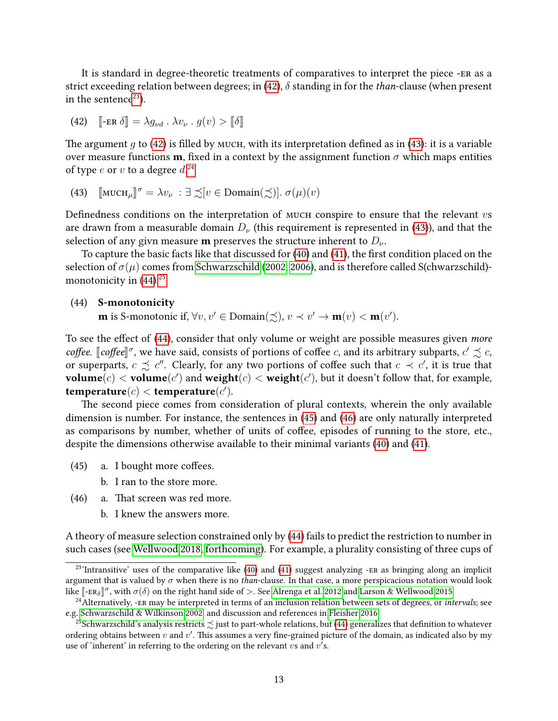It is standard in degree-theoretic treatments of comparatives to interpret the piece -er as a strict exceeding relation between degrees; in [\(42\)](#page-12-0),  $\delta$  standing in for the *than*-clause (when present in the sentence<sup>[23](#page-0-0)</sup>).

<span id="page-12-0"></span>(42) 
$$
\llbracket -\text{ER } \delta \rrbracket = \lambda g_{\nu d} \cdot \lambda v_{\nu} \cdot g(v) > \llbracket \delta \rrbracket
$$

The argument g to [\(42\)](#page-12-0) is filled by мисн, with its interpretation defined as in [\(43\)](#page-12-1): it is a variable over measure functions **m**, fixed in a context by the assignment function  $\sigma$  which maps entities of type  $e$  or  $v$  to a degree  $d^{24}$  $d^{24}$  $d^{24}$ 

<span id="page-12-1"></span>(43)  $[\text{MUCH}_{\mu}]\sigma = \lambda v_{\nu} : \exists \precsim [v \in \text{Domain}(\precsim)] \cdot \sigma(\mu)(v)$ 

Definedness conditions on the interpretation of MUCH conspire to ensure that the relevant  $vs$ are drawn from a measurable domain  $D_{\nu}$  (this requirement is represented in [\(43\)](#page-12-1)), and that the selection of any givn measure **m** preserves the structure inherent to  $D_{\nu}$ .

To capture the basic facts like that discussed for  $(40)$  and  $(41)$ , the first condition placed on the selection of  $\sigma(\mu)$  comes from [Schwarzschild](#page-28-7) [\(2002,](#page-28-7) [2006\)](#page-28-8), and is therefore called S(chwarzschild)monotonicity in  $(44).^{25}$  $(44).^{25}$  $(44).^{25}$  $(44).^{25}$ 

### <span id="page-12-2"></span>(44) S-monotonicity

**m** is S-monotonic if,  $\forall v, v' \in \text{Domain}(\precsim), v \prec v' \rightarrow \mathbf{m}(v) < \mathbf{m}(v').$ 

To see the effect of [\(44\)](#page-12-2), consider that only volume or weight are possible measures given *more* coffee. [coffee]<sup> $\sigma$ </sup>, we have said, consists of portions of coffee c, and its arbitrary subparts,  $c' \precsim c$ , or superports,  $c \precsim c''$ . Clearly, for any two portions of coffee such that  $c \prec c'$  it is true that or superparts,  $c \precsim c''$ . Clearly, for any two portions of coffee such that  $c \prec c'$ , it is true that  $\textbf{volume}(c) < \textbf{volume}(c')$  and  $\textbf{weight}(c) < \textbf{weight}(c')$ , but it doesn't follow that, for example, temperature $(c) <$  temperature $(c')$ .

The second piece comes from consideration of plural contexts, wherein the only available dimension is number. For instance, the sentences in [\(45\)](#page-12-3) and [\(46\)](#page-12-4) are only naturally interpreted as comparisons by number, whether of units of coffee, episodes of running to the store, etc., despite the dimensions otherwise available to their minimal variants [\(40\)](#page-11-7) and [\(41\)](#page-11-5).

- <span id="page-12-3"></span> $(45)$  a. I bought more coffees.
	- b. I ran to the store more.
- <span id="page-12-4"></span> $(46)$  a. That screen was red more.
	- b. I knew the answers more.

A theory of measure selection constrained only by [\(44\)](#page-12-2) fails to predict the restriction to number in such cases (see [Wellwood 2018,](#page-29-0) [forthcoming\)](#page-29-2). For example, a plurality consisting of three cups of

 $23$ <sup>c</sup>Intransitive' uses of the comparative like [\(40\)](#page-11-7) and [\(41\)](#page-11-5) suggest analyzing -ER as bringing along an implicit argument that is valued by  $\sigma$  when there is no than-clause. In that case, a more perspicacious notation would look like  $[-ER_\delta]^{\sigma}$ , with  $\sigma(\delta)$  on the right hand side of >. See [Alrenga et al. 2012](#page-23-0) and [Larson & Wellwood 2015.](#page-26-5)

<sup>&</sup>lt;sup>24</sup>Alternatively, - $ER$  may be interpreted in terms of an inclusion relation between sets of degrees, or *intervals*; see e.g. [Schwarzschild & Wilkinson 2002,](#page-28-9) and discussion and references in [Fleisher 2016.](#page-25-7)

<sup>&</sup>lt;sup>25</sup>Schwarzschild's analysis restricts  $\precsim$  just to part-whole relations, but [\(44\)](#page-12-2) generalizes that definition to whatever ordering obtains between  $v$  and  $v'$ . This assumes a very fine-grained picture of the domain, as indicated also by my use of 'inherent' in referring to the ordering on the relevant vs and  $v$ 's.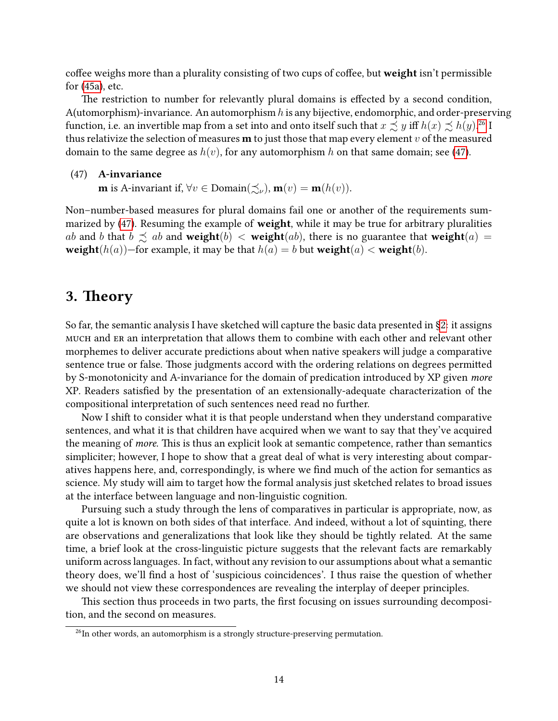coffee weighs more than a plurality consisting of two cups of coffee, but weight isn't permissible for [\(45a\)](#page-12-3), etc.

The restriction to number for relevantly plural domains is effected by a second condition, A(utomorphism)-invariance. An automorphism  $h$  is any bijective, endomorphic, and order-preserving function, i.e. an invertible map from a set into and onto itself such that  $x \precsim y$  iff  $h(x) \precsim h(y)$ .<sup>[26](#page-0-0)</sup> I thus relativize the selection of measures **m** to just those that map every element  $v$  of the measured domain to the same degree as  $h(v)$ , for any automorphism h on that same domain; see [\(47\)](#page-13-1).

#### <span id="page-13-1"></span>(47) A-invariance

**m** is A-invariant if,  $\forall v \in \text{Domain}(\preceq_{\nu}), \mathbf{m}(v) = \mathbf{m}(h(v)).$ 

Non–number-based measures for plural domains fail one or another of the requirements sum-marized by [\(47\)](#page-13-1). Resuming the example of weight, while it may be true for arbitrary pluralities ab and b that  $b \precsim ab$  and weight $(b) <$  weight $(ab)$ , there is no guarantee that weight $(a) =$ **weight** $(h(a))$ —for example, it may be that  $h(a) = b$  but **weight** $(a) <$  **weight** $(b)$ .

# <span id="page-13-0"></span>3. Theory

So far, the semantic analysis I have sketched will capture the basic data presented in [§2:](#page-1-0) it assigns much and er an interpretation that allows them to combine with each other and relevant other morphemes to deliver accurate predictions about when native speakers will judge a comparative sentence true or false. Those judgments accord with the ordering relations on degrees permitted by S-monotonicity and A-invariance for the domain of predication introduced by XP given more XP. Readers satisfied by the presentation of an extensionally-adequate characterization of the compositional interpretation of such sentences need read no further.

Now I shift to consider what it is that people understand when they understand comparative sentences, and what it is that children have acquired when we want to say that they've acquired the meaning of *more*. This is thus an explicit look at semantic competence, rather than semantics simpliciter; however, I hope to show that a great deal of what is very interesting about comparatives happens here, and, correspondingly, is where we find much of the action for semantics as science. My study will aim to target how the formal analysis just sketched relates to broad issues at the interface between language and non-linguistic cognition.

Pursuing such a study through the lens of comparatives in particular is appropriate, now, as quite a lot is known on both sides of that interface. And indeed, without a lot of squinting, there are observations and generalizations that look like they should be tightly related. At the same time, a brief look at the cross-linguistic picture suggests that the relevant facts are remarkably uniform across languages. In fact, without any revision to our assumptions about what a semantic theory does, we'll find a host of 'suspicious coincidences'. I thus raise the question of whether we should not view these correspondences are revealing the interplay of deeper principles.

This section thus proceeds in two parts, the first focusing on issues surrounding decomposition, and the second on measures.

 $26$ In other words, an automorphism is a strongly structure-preserving permutation.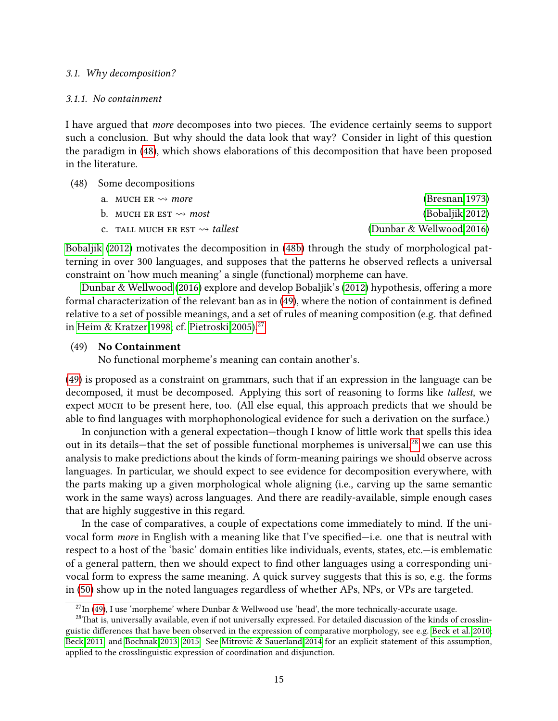### 3.1. Why decomposition?

### 3.1.1. No containment

I have argued that more decomposes into two pieces. The evidence certainly seems to support such a conclusion. But why should the data look that way? Consider in light of this question the paradigm in [\(48\)](#page-14-0), which shows elaborations of this decomposition that have been proposed in the literature.

<span id="page-14-1"></span><span id="page-14-0"></span>(48) Some decompositions

| a. MUCH ER $\rightsquigarrow$ more             | (Bresnan 1973)           |
|------------------------------------------------|--------------------------|
| b. MUCH ER EST $\rightsquigarrow$ most         | (Bobaljik 2012)          |
| c. TALL MUCH ER EST $\rightsquigarrow$ tallest | (Dunbar & Wellwood 2016) |

<span id="page-14-3"></span>[Bobaljik](#page-23-1) [\(2012\)](#page-23-1) motivates the decomposition in [\(48b\)](#page-14-1) through the study of morphological patterning in over 300 languages, and supposes that the patterns he observed reflects a universal constraint on 'how much meaning' a single (functional) morpheme can have.

[Dunbar & Wellwood](#page-25-1) [\(2016\)](#page-25-1) explore and develop Bobaljik's [\(2012\)](#page-23-1) hypothesis, offering a more formal characterization of the relevant ban as in  $(49)$ , where the notion of containment is defined relative to a set of possible meanings, and a set of rules of meaning composition (e.g. that defined in [Heim & Kratzer 1998;](#page-25-8) cf. [Pietroski 2005\)](#page-27-3).<sup>[27](#page-0-0)</sup>

### <span id="page-14-2"></span>(49) No Containment

No functional morpheme's meaning can contain another's.

[\(49\)](#page-14-2) is proposed as a constraint on grammars, such that if an expression in the language can be decomposed, it must be decomposed. Applying this sort of reasoning to forms like tallest, we expect MUCH to be present here, too. (All else equal, this approach predicts that we should be able to find languages with morphophonological evidence for such a derivation on the surface.)

In conjunction with a general expectation—though I know of little work that spells this idea out in its details—that the set of possible functional morphemes is universal,<sup>[28](#page-0-0)</sup> we can use this analysis to make predictions about the kinds of form-meaning pairings we should observe across languages. In particular, we should expect to see evidence for decomposition everywhere, with the parts making up a given morphological whole aligning (i.e., carving up the same semantic work in the same ways) across languages. And there are readily-available, simple enough cases that are highly suggestive in this regard.

In the case of comparatives, a couple of expectations come immediately to mind. If the univocal form *more* in English with a meaning like that I've specified—i.e. one that is neutral with respect to a host of the 'basic' domain entities like individuals, events, states, etc.—is emblematic of a general pattern, then we should expect to find other languages using a corresponding univocal form to express the same meaning. A quick survey suggests that this is so, e.g. the forms in [\(50\)](#page-15-0) show up in the noted languages regardless of whether APs, NPs, or VPs are targeted.

 $^{27}$ In [\(49\)](#page-14-2), I use 'morpheme' where Dunbar & Wellwood use 'head', the more technically-accurate usage.

 $28$ That is, universally available, even if not universally expressed. For detailed discussion of the kinds of crosslin-guistic differences that have been observed in the expression of comparative morphology, see e.g. [Beck et al. 2010;](#page-23-2) [Beck 2011,](#page-23-3) and [Bochnak 2013,](#page-24-10) [2015.](#page-24-11) See Mitrović & Sauerland 2014 for an explicit statement of this assumption, applied to the crosslinguistic expression of coordination and disjunction.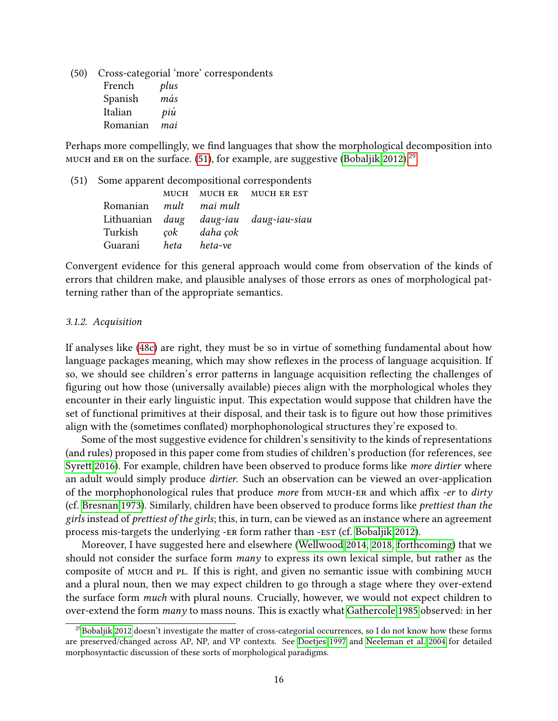<span id="page-15-0"></span>(50) Cross-categorial 'more' correspondents French plus Spanish *más* Italian *piú* Romanian mai

Perhaps more compellingly, we find languages that show the morphological decomposition into MUCH and ER on the surface. [\(51\)](#page-15-1), for example, are suggestive [\(Bobaljik 2012\)](#page-23-1).<sup>[29](#page-0-0)</sup>

<span id="page-15-1"></span>(51) Some apparent decompositional correspondents

|                               |  |  | MUCH MUCH ER MUCH ER EST               |  |
|-------------------------------|--|--|----------------------------------------|--|
| Romanian <i>mult</i> mai mult |  |  |                                        |  |
|                               |  |  | Lithuanian daug daug-iau daug-iau-siau |  |
| Turkish cok daha cok          |  |  |                                        |  |
| Guaraní heta heta-ve          |  |  |                                        |  |

Convergent evidence for this general approach would come from observation of the kinds of errors that children make, and plausible analyses of those errors as ones of morphological patterning rather than of the appropriate semantics.

#### 3.1.2. Acquisition

If analyses like [\(48c\)](#page-14-3) are right, they must be so in virtue of something fundamental about how language packages meaning, which may show reflexes in the process of language acquisition. If so, we should see children's error patterns in language acquisition reflecting the challenges of figuring out how those (universally available) pieces align with the morphological wholes they encounter in their early linguistic input. This expectation would suppose that children have the set of functional primitives at their disposal, and their task is to figure out how those primitives align with the (sometimes conflated) morphophonological structures they're exposed to.

Some of the most suggestive evidence for children's sensitivity to the kinds of representations (and rules) proposed in this paper come from studies of children's production (for references, see Syrett 2016). For example, children have been observed to produce forms like more dirtier where an adult would simply produce dirtier. Such an observation can be viewed an over-application of the morphophonological rules that produce more from MUCH-ER and which affix -er to dirty (cf. [Bresnan 1973\)](#page-24-0). Similarly, children have been observed to produce forms like prettiest than the girls instead of *prettiest of the girls*; this, in turn, can be viewed as an instance where an agreement process mis-targets the underlying -ER form rather than -EST (cf. [Bobaljik 2012\)](#page-23-1).

Moreover, I have suggested here and elsewhere [\(Wellwood 2014,](#page-29-1) [2018,](#page-29-0) [forthcoming\)](#page-29-2) that we should not consider the surface form  $many$  to express its own lexical simple, but rather as the composite of MUCH and PL. If this is right, and given no semantic issue with combining MUCH and a plural noun, then we may expect children to go through a stage where they over-extend the surface form much with plural nouns. Crucially, however, we would not expect children to over-extend the form many to mass nouns. This is exactly what [Gathercole 1985](#page-25-9) observed: in her

<sup>&</sup>lt;sup>29</sup>[Bobaljik 2012](#page-23-1) doesn't investigate the matter of cross-categorial occurrences, so I do not know how these forms are preserved/changed across AP, NP, and VP contexts. See [Doetjes 1997](#page-25-2) and [Neeleman et al. 2004](#page-27-5) for detailed morphosyntactic discussion of these sorts of morphological paradigms.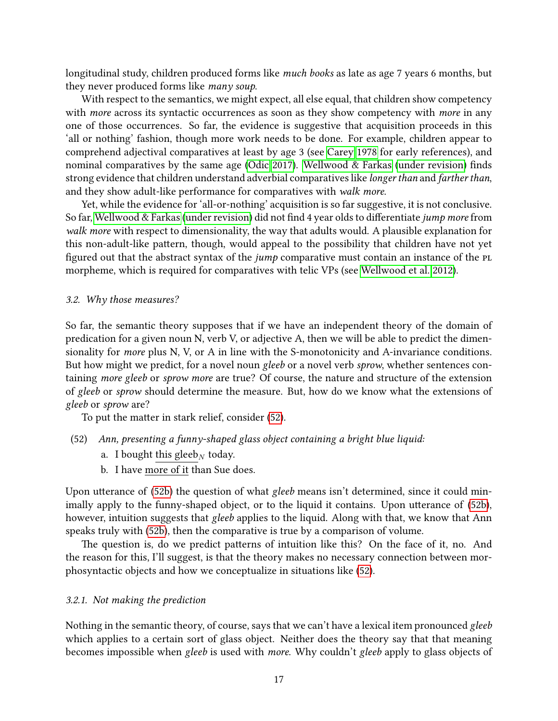longitudinal study, children produced forms like much books as late as age 7 years 6 months, but they never produced forms like many soup.

With respect to the semantics, we might expect, all else equal, that children show competency with more across its syntactic occurrences as soon as they show competency with more in any one of those occurrences. So far, the evidence is suggestive that acquisition proceeds in this 'all or nothing' fashion, though more work needs to be done. For example, children appear to comprehend adjectival comparatives at least by age 3 (see [Carey 1978](#page-24-12) for early references), and nominal comparatives by the same age [\(Odic 2017\)](#page-27-6). Wellwood  $&$  Farkas [\(under revision\)](#page-29-6) finds strong evidence that children understand adverbial comparatives like longer than and farther than, and they show adult-like performance for comparatives with walk more.

Yet, while the evidence for 'all-or-nothing' acquisition is so far suggestive, it is not conclusive. So far, [Wellwood & Farkas](#page-29-6) [\(under revision\)](#page-29-6) did not find 4 year olds to differentiate jump more from walk more with respect to dimensionality, the way that adults would. A plausible explanation for this non-adult-like pattern, though, would appeal to the possibility that children have not yet figured out that the abstract syntax of the *jump* comparative must contain an instance of the PL morpheme, which is required for comparatives with telic VPs (see [Wellwood et al. 2012\)](#page-29-5).

### 3.2. Why those measures?

So far, the semantic theory supposes that if we have an independent theory of the domain of predication for a given noun N, verb V, or adjective A, then we will be able to predict the dimensionality for more plus N, V, or A in line with the S-monotonicity and A-invariance conditions. But how might we predict, for a novel noun gleeb or a novel verb sprow, whether sentences containing more gleeb or sprow more are true? Of course, the nature and structure of the extension of gleeb or sprow should determine the measure. But, how do we know what the extensions of gleeb or sprow are?

To put the matter in stark relief, consider [\(52\)](#page-16-0).

- <span id="page-16-0"></span>(52) Ann, presenting a funny-shaped glass object containing a bright blue liquid:
	- a. I bought this gleeb<sub>N</sub> today.
	- b. I have more of it than Sue does.

<span id="page-16-1"></span>Upon utterance of [\(52b\)](#page-16-1) the question of what gleeb means isn't determined, since it could min-imally apply to the funny-shaped object, or to the liquid it contains. Upon utterance of [\(52b\)](#page-16-1), however, intuition suggests that gleeb applies to the liquid. Along with that, we know that Ann speaks truly with [\(52b\)](#page-16-1), then the comparative is true by a comparison of volume.

The question is, do we predict patterns of intuition like this? On the face of it, no. And the reason for this, I'll suggest, is that the theory makes no necessary connection between morphosyntactic objects and how we conceptualize in situations like [\(52\)](#page-16-0).

### 3.2.1. Not making the prediction

Nothing in the semantic theory, of course, says that we can't have a lexical item pronounced gleeb which applies to a certain sort of glass object. Neither does the theory say that that meaning becomes impossible when gleeb is used with more. Why couldn't gleeb apply to glass objects of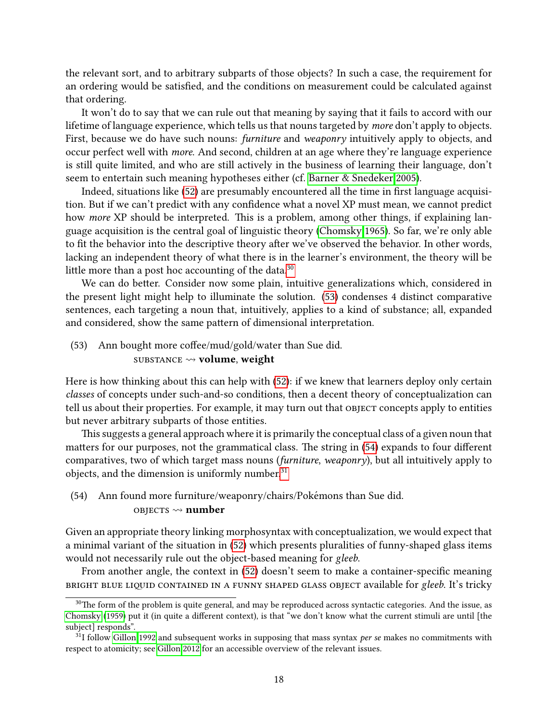the relevant sort, and to arbitrary subparts of those objects? In such a case, the requirement for an ordering would be satisfied, and the conditions on measurement could be calculated against that ordering.

It won't do to say that we can rule out that meaning by saying that it fails to accord with our lifetime of language experience, which tells us that nouns targeted by more don't apply to objects. First, because we do have such nouns: furniture and weaponry intuitively apply to objects, and occur perfect well with *more*. And second, children at an age where they're language experience is still quite limited, and who are still actively in the business of learning their language, don't seem to entertain such meaning hypotheses either (cf. [Barner & Snedeker 2005\)](#page-23-4).

Indeed, situations like [\(52\)](#page-16-0) are presumably encountered all the time in first language acquisition. But if we can't predict with any confidence what a novel XP must mean, we cannot predict how *more* XP should be interpreted. This is a problem, among other things, if explaining language acquisition is the central goal of linguistic theory [\(Chomsky 1965\)](#page-24-13). So far, we're only able to fit the behavior into the descriptive theory after we've observed the behavior. In other words, lacking an independent theory of what there is in the learner's environment, the theory will be little more than a post hoc accounting of the data. $30$ 

We can do better. Consider now some plain, intuitive generalizations which, considered in the present light might help to illuminate the solution. [\(53\)](#page-17-0) condenses 4 distinct comparative sentences, each targeting a noun that, intuitively, applies to a kind of substance; all, expanded and considered, show the same pattern of dimensional interpretation.

## <span id="page-17-0"></span> $(53)$  Ann bought more coffee/mud/gold/water than Sue did. SUBSTANCE  $\rightsquigarrow$  volume, weight

Here is how thinking about this can help with [\(52\)](#page-16-0): if we knew that learners deploy only certain classes of concepts under such-and-so conditions, then a decent theory of conceptualization can tell us about their properties. For example, it may turn out that OBJECT concepts apply to entities but never arbitrary subparts of those entities.

This suggests a general approach where it is primarily the conceptual class of a given noun that matters for our purposes, not the grammatical class. The string in [\(54\)](#page-17-1) expands to four different comparatives, two of which target mass nouns (furniture, weaponry), but all intuitively apply to objects, and the dimension is uniformly number. $31$ 

### <span id="page-17-1"></span>(54) Ann found more furniture/weaponry/chairs/Pokémons than Sue did.

### OBJECTS  $\rightsquigarrow$  number

Given an appropriate theory linking morphosyntax with conceptualization, we would expect that a minimal variant of the situation in [\(52\)](#page-16-0) which presents pluralities of funny-shaped glass items would not necessarily rule out the object-based meaning for gleeb.

From another angle, the context in [\(52\)](#page-16-0) doesn't seem to make a container-specific meaning BRIGHT BLUE LIQUID CONTAINED IN A FUNNY SHAPED GLASS OBJECT available for gleeb. It's tricky

 $30$ The form of the problem is quite general, and may be reproduced across syntactic categories. And the issue, as [Chomsky](#page-24-14) [\(1959\)](#page-24-14) put it (in quite a different context), is that "we don't know what the current stimuli are until [the subject] responds".

 $31$ I follow [Gillon 1992](#page-25-3) and subsequent works in supposing that mass syntax *per se* makes no commitments with respect to atomicity; see [Gillon 2012](#page-25-10) for an accessible overview of the relevant issues.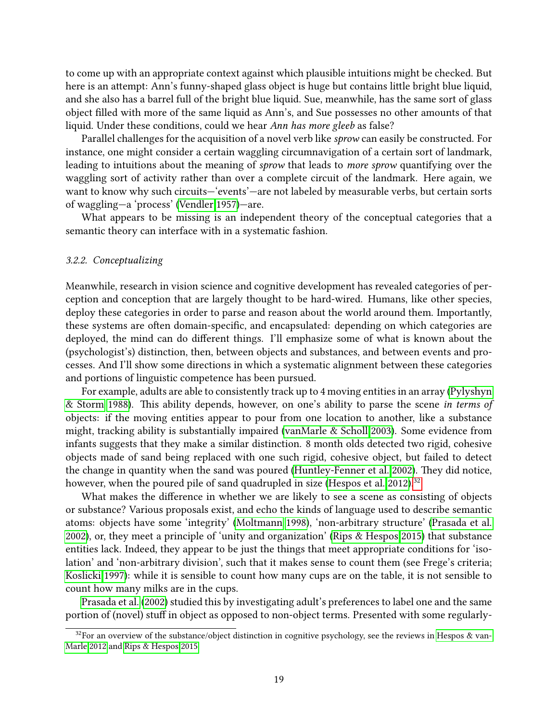to come up with an appropriate context against which plausible intuitions might be checked. But here is an attempt: Ann's funny-shaped glass object is huge but contains little bright blue liquid, and she also has a barrel full of the bright blue liquid. Sue, meanwhile, has the same sort of glass object lled with more of the same liquid as Ann's, and Sue possesses no other amounts of that liquid. Under these conditions, could we hear Ann has more gleeb as false?

Parallel challenges for the acquisition of a novel verb like sprow can easily be constructed. For instance, one might consider a certain waggling circumnavigation of a certain sort of landmark, leading to intuitions about the meaning of sprow that leads to more sprow quantifying over the waggling sort of activity rather than over a complete circuit of the landmark. Here again, we want to know why such circuits—'events'—are not labeled by measurable verbs, but certain sorts of waggling—a 'process' [\(Vendler 1957\)](#page-29-7)—are.

What appears to be missing is an independent theory of the conceptual categories that a semantic theory can interface with in a systematic fashion.

### 3.2.2. Conceptualizing

Meanwhile, research in vision science and cognitive development has revealed categories of perception and conception that are largely thought to be hard-wired. Humans, like other species, deploy these categories in order to parse and reason about the world around them. Importantly, these systems are often domain-specific, and encapsulated: depending on which categories are deployed, the mind can do different things. I'll emphasize some of what is known about the (psychologist's) distinction, then, between objects and substances, and between events and processes. And I'll show some directions in which a systematic alignment between these categories and portions of linguistic competence has been pursued.

For example, adults are able to consistently track up to 4 moving entities in an array [\(Pylyshyn](#page-28-11) [& Storm 1988\)](#page-28-11). This ability depends, however, on one's ability to parse the scene in terms of objects: if the moving entities appear to pour from one location to another, like a substance might, tracking ability is substantially impaired [\(vanMarle & Scholl 2003\)](#page-29-8). Some evidence from infants suggests that they make a similar distinction. 8 month olds detected two rigid, cohesive objects made of sand being replaced with one such rigid, cohesive object, but failed to detect the change in quantity when the sand was poured [\(Huntley-Fenner et al. 2002\)](#page-26-6). They did notice, however, when the poured pile of sand quadrupled in size [\(Hespos et al. 2012\)](#page-26-7).<sup>[32](#page-0-0)</sup>

What makes the difference in whether we are likely to see a scene as consisting of objects or substance? Various proposals exist, and echo the kinds of language used to describe semantic atoms: objects have some 'integrity' [\(Moltmann 1998\)](#page-27-7), 'non-arbitrary structure' [\(Prasada et al.](#page-27-8) [2002\)](#page-27-8), or, they meet a principle of 'unity and organization' [\(Rips & Hespos 2015\)](#page-28-12) that substance entities lack. Indeed, they appear to be just the things that meet appropriate conditions for 'isolation' and 'non-arbitrary division', such that it makes sense to count them (see Frege's criteria; [Koslicki 1997\)](#page-26-8): while it is sensible to count how many cups are on the table, it is not sensible to count how many milks are in the cups.

[Prasada et al.](#page-27-8) [\(2002\)](#page-27-8) studied this by investigating adult's preferences to label one and the same portion of (novel) stuff in object as opposed to non-object terms. Presented with some regularly-

 $32$ For an overview of the substance/object distinction in cognitive psychology, see the reviews in [Hespos & van-](#page-26-9)[Marle 2012](#page-26-9) and [Rips & Hespos 2015.](#page-28-12)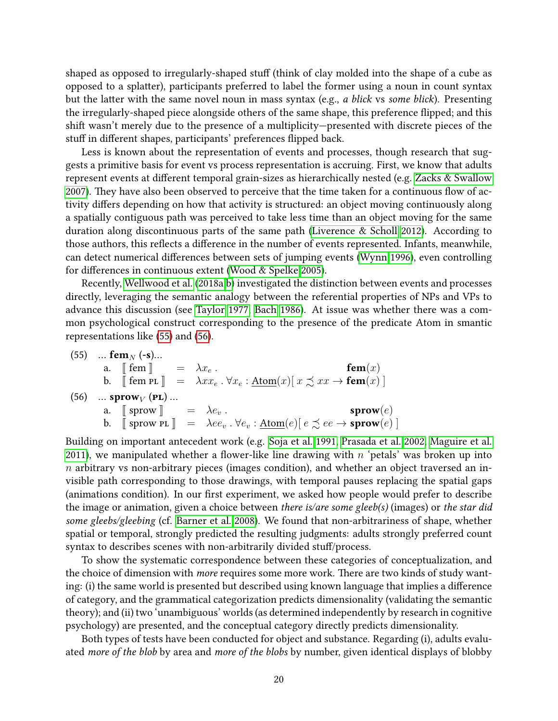shaped as opposed to irregularly-shaped stuff (think of clay molded into the shape of a cube as opposed to a splatter), participants preferred to label the former using a noun in count syntax but the latter with the same novel noun in mass syntax (e.g., a blick vs some blick). Presenting the irregularly-shaped piece alongside others of the same shape, this preference flipped; and this shift wasn't merely due to the presence of a multiplicity—presented with discrete pieces of the stuff in different shapes, participants' preferences flipped back.

Less is known about the representation of events and processes, though research that suggests a primitive basis for event vs process representation is accruing. First, we know that adults represent events at different temporal grain-sizes as hierarchically nested (e.g. [Zacks & Swallow](#page-30-4) [2007\)](#page-30-4). They have also been observed to perceive that the time taken for a continuous flow of activity differs depending on how that activity is structured: an object moving continuously along a spatially contiguous path was perceived to take less time than an object moving for the same duration along discontinuous parts of the same path [\(Liverence & Scholl 2012\)](#page-26-10). According to those authors, this reflects a difference in the number of events represented. Infants, meanwhile, can detect numerical differences between sets of jumping events [\(Wynn 1996\)](#page-30-5), even controlling for differences in continuous extent [\(Wood & Spelke 2005\)](#page-30-6).

Recently, [Wellwood et al.](#page-29-9) [\(2018a](#page-29-9)[,b\)](#page-29-10) investigated the distinction between events and processes directly, leveraging the semantic analogy between the referential properties of NPs and VPs to advance this discussion (see [Taylor 1977,](#page-29-11) [Bach 1986\)](#page-23-5). At issue was whether there was a common psychological construct corresponding to the presence of the predicate Atom in smantic representations like [\(55\)](#page-19-0) and [\(56\)](#page-19-1).

<span id="page-19-1"></span><span id="page-19-0"></span>(55) ... **fem**<sub>N</sub> (-**s**)...  
\na. 
$$
\llbracket \text{fem} \rrbracket = \lambda x_e
$$
.  
\nb.  $\llbracket \text{fem PL} \rrbracket = \lambda x x_e \cdot \forall x_e : \underline{Atom}(x) [ x \preceq x x \rightarrow \text{fem}(x) ]$   
\n(56) ... **sprow**<sub>V</sub> (**PL**) ...  
\na.  $\llbracket \text{sprow } \rrbracket = \lambda e_v$ .  
\nb.  $\llbracket \text{sprow PL} \rrbracket = \lambda e_v \cdot \forall e_v : \underline{Atom}(e) [ e \preceq ee \rightarrow \text{sprow}(e) ]$ 

Building on important antecedent work (e.g. [Soja et al. 1991,](#page-28-13) [Prasada et al. 2002,](#page-27-8) [Maguire et al.](#page-26-11) [2011\)](#page-26-11), we manipulated whether a flower-like line drawing with  $n$  'petals' was broken up into  $n$  arbitrary vs non-arbitrary pieces (images condition), and whether an object traversed an invisible path corresponding to those drawings, with temporal pauses replacing the spatial gaps (animations condition). In our first experiment, we asked how people would prefer to describe the image or animation, given a choice between there is/are some gleeb(s) (images) or the star did some gleebs/gleebing (cf. [Barner et al. 2008\)](#page-23-6). We found that non-arbitrariness of shape, whether spatial or temporal, strongly predicted the resulting judgments: adults strongly preferred count syntax to describes scenes with non-arbitrarily divided stuff/process.

To show the systematic correspondence between these categories of conceptualization, and the choice of dimension with more requires some more work. There are two kinds of study wanting: (i) the same world is presented but described using known language that implies a difference of category, and the grammatical categorization predicts dimensionality (validating the semantic theory); and (ii) two 'unambiguous' worlds (as determined independently by research in cognitive psychology) are presented, and the conceptual category directly predicts dimensionality.

Both types of tests have been conducted for object and substance. Regarding (i), adults evaluated more of the blob by area and more of the blobs by number, given identical displays of blobby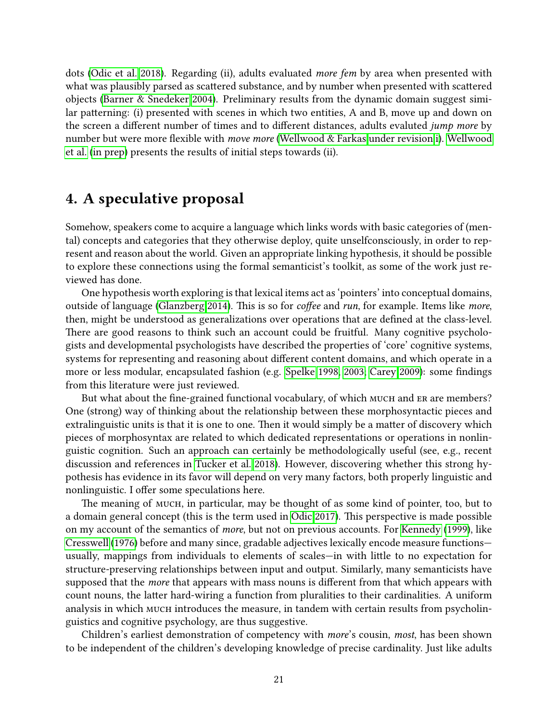dots [\(Odic et al. 2018\)](#page-27-9). Regarding (ii), adults evaluated more fem by area when presented with what was plausibly parsed as scattered substance, and by number when presented with scattered objects [\(Barner & Snedeker 2004\)](#page-23-7). Preliminary results from the dynamic domain suggest similar patterning: (i) presented with scenes in which two entities, A and B, move up and down on the screen a different number of times and to different distances, adults evaluted *jump more* by number but were more flexible with *move more* [\(Wellwood & Farkas under revision](#page-29-6)[,i\)](#page-29-12). [Wellwood](#page-29-13) [et al.](#page-29-13) [\(in prep\)](#page-29-13) presents the results of initial steps towards (ii).

## 4. A speculative proposal

Somehow, speakers come to acquire a language which links words with basic categories of (mental) concepts and categories that they otherwise deploy, quite unselfconsciously, in order to represent and reason about the world. Given an appropriate linking hypothesis, it should be possible to explore these connections using the formal semanticist's toolkit, as some of the work just reviewed has done.

One hypothesis worth exploring is that lexical items act as 'pointers' into conceptual domains, outside of language [\(Glanzberg 2014\)](#page-25-11). This is so for *coffee* and *run*, for example. Items like *more*, then, might be understood as generalizations over operations that are defined at the class-level. There are good reasons to think such an account could be fruitful. Many cognitive psychologists and developmental psychologists have described the properties of 'core' cognitive systems, systems for representing and reasoning about different content domains, and which operate in a more or less modular, encapsulated fashion (e.g. [Spelke 1998,](#page-28-14) [2003;](#page-28-15) [Carey 2009\)](#page-24-15): some findings from this literature were just reviewed.

But what about the fine-grained functional vocabulary, of which much and ER are members? One (strong) way of thinking about the relationship between these morphosyntactic pieces and extralinguistic units is that it is one to one. Then it would simply be a matter of discovery which pieces of morphosyntax are related to which dedicated representations or operations in nonlinguistic cognition. Such an approach can certainly be methodologically useful (see, e.g., recent discussion and references in [Tucker et al. 2018\)](#page-29-14). However, discovering whether this strong hypothesis has evidence in its favor will depend on very many factors, both properly linguistic and nonlinguistic. I offer some speculations here.

The meaning of MUCH, in particular, may be thought of as some kind of pointer, too, but to a domain general concept (this is the term used in [Odic 2017\)](#page-27-6). This perspective is made possible on my account of the semantics of more, but not on previous accounts. For [Kennedy](#page-26-12) [\(1999\)](#page-26-12), like [Cresswell](#page-25-0) [\(1976\)](#page-25-0) before and many since, gradable adjectives lexically encode measure functions usually, mappings from individuals to elements of scales-in with little to no expectation for structure-preserving relationships between input and output. Similarly, many semanticists have supposed that the *more* that appears with mass nouns is different from that which appears with count nouns, the latter hard-wiring a function from pluralities to their cardinalities. A uniform analysis in which MUCH introduces the measure, in tandem with certain results from psycholinguistics and cognitive psychology, are thus suggestive.

Children's earliest demonstration of competency with more's cousin, most, has been shown to be independent of the children's developing knowledge of precise cardinality. Just like adults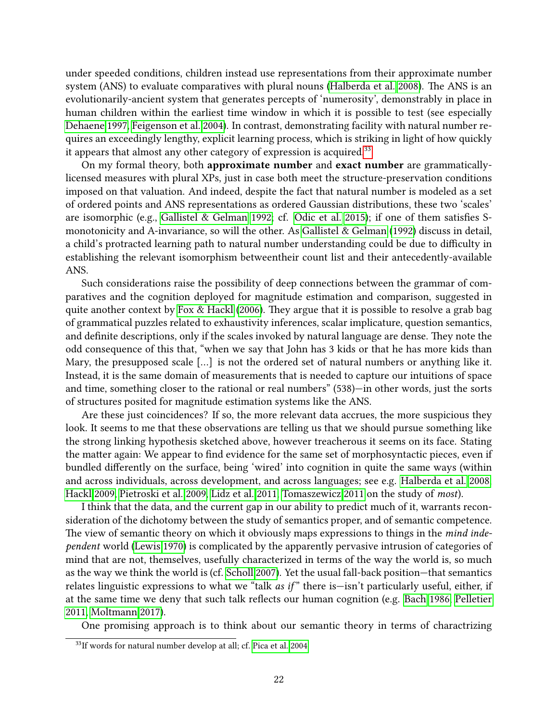under speeded conditions, children instead use representations from their approximate number system (ANS) to evaluate comparatives with plural nouns [\(Halberda et al. 2008\)](#page-25-12). The ANS is an evolutionarily-ancient system that generates percepts of 'numerosity', demonstrably in place in human children within the earliest time window in which it is possible to test (see especially [Dehaene 1997,](#page-25-13) [Feigenson et al. 2004\)](#page-25-14). In contrast, demonstrating facility with natural number requires an exceedingly lengthy, explicit learning process, which is striking in light of how quickly it appears that almost any other category of expression is acquired.<sup>[33](#page-0-0)</sup>

On my formal theory, both approximate number and exact number are grammaticallylicensed measures with plural XPs, just in case both meet the structure-preservation conditions imposed on that valuation. And indeed, despite the fact that natural number is modeled as a set of ordered points and ANS representations as ordered Gaussian distributions, these two 'scales' are isomorphic (e.g., [Gallistel & Gelman 1992;](#page-25-15) cf. [Odic et al. 2015\)](#page-27-10); if one of them satisfies Smonotonicity and A-invariance, so will the other. As [Gallistel & Gelman](#page-25-15) [\(1992\)](#page-25-15) discuss in detail, a child's protracted learning path to natural number understanding could be due to difficulty in establishing the relevant isomorphism betweentheir count list and their antecedently-available ANS.

Such considerations raise the possibility of deep connections between the grammar of comparatives and the cognition deployed for magnitude estimation and comparison, suggested in quite another context by [Fox & Hackl](#page-25-16) [\(2006\)](#page-25-16). They argue that it is possible to resolve a grab bag of grammatical puzzles related to exhaustivity inferences, scalar implicature, question semantics, and definite descriptions, only if the scales invoked by natural language are dense. They note the odd consequence of this that, "when we say that John has 3 kids or that he has more kids than Mary, the presupposed scale […] is not the ordered set of natural numbers or anything like it. Instead, it is the same domain of measurements that is needed to capture our intuitions of space and time, something closer to the rational or real numbers" (538)—in other words, just the sorts of structures posited for magnitude estimation systems like the ANS.

Are these just coincidences? If so, the more relevant data accrues, the more suspicious they look. It seems to me that these observations are telling us that we should pursue something like the strong linking hypothesis sketched above, however treacherous it seems on its face. Stating the matter again: We appear to find evidence for the same set of morphosyntactic pieces, even if bundled differently on the surface, being 'wired' into cognition in quite the same ways (within and across individuals, across development, and across languages; see e.g. [Halberda et al. 2008,](#page-25-12) [Hackl 2009,](#page-25-17) [Pietroski et al. 2009,](#page-27-11) [Lidz et al. 2011,](#page-26-13) [Tomaszewicz 2011](#page-29-15) on the study of most).

I think that the data, and the current gap in our ability to predict much of it, warrants reconsideration of the dichotomy between the study of semantics proper, and of semantic competence. The view of semantic theory on which it obviously maps expressions to things in the mind independent world [\(Lewis 1970\)](#page-26-14) is complicated by the apparently pervasive intrusion of categories of mind that are not, themselves, usefully characterized in terms of the way the world is, so much as the way we think the world is (cf. [Scholl 2007\)](#page-28-16). Yet the usual fall-back position—that semantics relates linguistic expressions to what we "talk as if" there is—isn't particularly useful, either, if at the same time we deny that such talk reflects our human cognition (e.g. [Bach 1986,](#page-23-5) [Pelletier](#page-27-12) [2011,](#page-27-12) [Moltmann 2017\)](#page-27-13).

One promising approach is to think about our semantic theory in terms of charactrizing

<sup>33</sup>If words for natural number develop at all; cf. [Pica et al. 2004.](#page-27-14)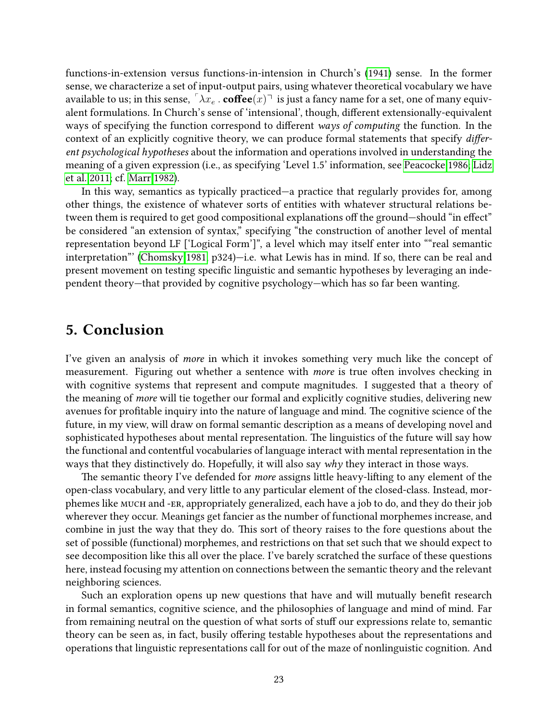functions-in-extension versus functions-in-intension in Church's [\(1941\)](#page-24-16) sense. In the former sense, we characterize a set of input-output pairs, using whatever theoretical vocabulary we have available to us; in this sense,  $\lceil \lambda x_e \rceil$  coffee $(x)$  is just a fancy name for a set, one of many equivalent formulations. In Church's sense of 'intensional', though, different extensionally-equivalent ways of specifying the function correspond to different ways of computing the function. In the context of an explicitly cognitive theory, we can produce formal statements that specify different psychological hypotheses about the information and operations involved in understanding the meaning of a given expression (i.e., as specifying 'Level 1.5' information, see [Peacocke 1986;](#page-27-15) [Lidz](#page-26-13) [et al. 2011;](#page-26-13) cf. [Marr 1982\)](#page-26-15).

In this way, semantics as typically practiced—a practice that regularly provides for, among other things, the existence of whatever sorts of entities with whatever structural relations between them is required to get good compositional explanations off the ground—should "in effect" be considered "an extension of syntax," specifying "the construction of another level of mental representation beyond LF ['Logical Form']", a level which may itself enter into ""real semantic interpretation"' [\(Chomsky 1981,](#page-24-17) p324)—i.e. what Lewis has in mind. If so, there can be real and present movement on testing specific linguistic and semantic hypotheses by leveraging an independent theory—that provided by cognitive psychology—which has so far been wanting.

## 5. Conclusion

I've given an analysis of more in which it invokes something very much like the concept of measurement. Figuring out whether a sentence with *more* is true often involves checking in with cognitive systems that represent and compute magnitudes. I suggested that a theory of the meaning of more will tie together our formal and explicitly cognitive studies, delivering new avenues for profitable inquiry into the nature of language and mind. The cognitive science of the future, in my view, will draw on formal semantic description as a means of developing novel and sophisticated hypotheses about mental representation. The linguistics of the future will say how the functional and contentful vocabularies of language interact with mental representation in the ways that they distinctively do. Hopefully, it will also say why they interact in those ways.

The semantic theory I've defended for *more* assigns little heavy-lifting to any element of the open-class vocabulary, and very little to any particular element of the closed-class. Instead, morphemes like much and -er, appropriately generalized, each have a job to do, and they do their job wherever they occur. Meanings get fancier as the number of functional morphemes increase, and combine in just the way that they do. This sort of theory raises to the fore questions about the set of possible (functional) morphemes, and restrictions on that set such that we should expect to see decomposition like this all over the place. I've barely scratched the surface of these questions here, instead focusing my attention on connections between the semantic theory and the relevant neighboring sciences.

Such an exploration opens up new questions that have and will mutually benefit research in formal semantics, cognitive science, and the philosophies of language and mind of mind. Far from remaining neutral on the question of what sorts of stuff our expressions relate to, semantic theory can be seen as, in fact, busily offering testable hypotheses about the representations and operations that linguistic representations call for out of the maze of nonlinguistic cognition. And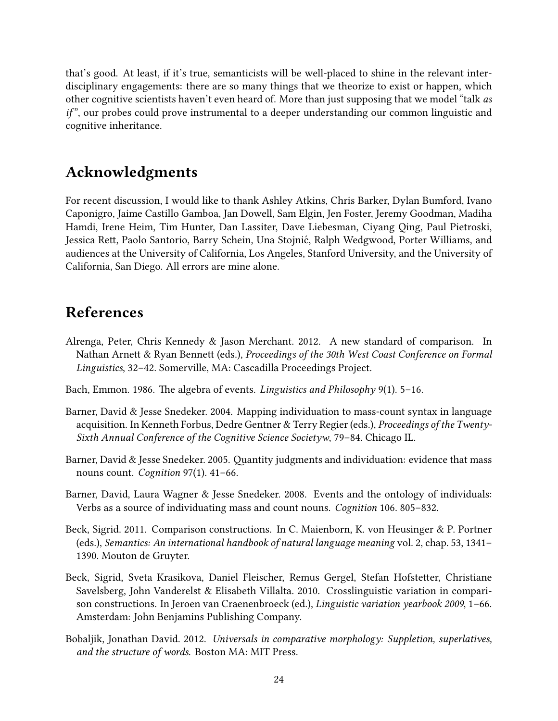that's good. At least, if it's true, semanticists will be well-placed to shine in the relevant interdisciplinary engagements: there are so many things that we theorize to exist or happen, which other cognitive scientists haven't even heard of. More than just supposing that we model "talk as  $if$ ", our probes could prove instrumental to a deeper understanding our common linguistic and cognitive inheritance.

# Acknowledgments

For recent discussion, I would like to thank Ashley Atkins, Chris Barker, Dylan Bumford, Ivano Caponigro, Jaime Castillo Gamboa, Jan Dowell, Sam Elgin, Jen Foster, Jeremy Goodman, Madiha Hamdi, Irene Heim, Tim Hunter, Dan Lassiter, Dave Liebesman, Ciyang Qing, Paul Pietroski, Jessica Rett, Paolo Santorio, Barry Schein, Una Stojnić, Ralph Wedgwood, Porter Williams, and audiences at the University of California, Los Angeles, Stanford University, and the University of California, San Diego. All errors are mine alone.

# References

- <span id="page-23-0"></span>Alrenga, Peter, Chris Kennedy & Jason Merchant. 2012. A new standard of comparison. In Nathan Arnett & Ryan Bennett (eds.), Proceedings of the 30th West Coast Conference on Formal Linguistics, 32–42. Somerville, MA: Cascadilla Proceedings Project.
- <span id="page-23-5"></span>Bach, Emmon. 1986. The algebra of events. Linguistics and Philosophy 9(1). 5-16.
- <span id="page-23-7"></span>Barner, David & Jesse Snedeker. 2004. Mapping individuation to mass-count syntax in language acquisition. In Kenneth Forbus, Dedre Gentner & Terry Regier (eds.), Proceedings of the Twenty-Sixth Annual Conference of the Cognitive Science Societyw, 79–84. Chicago IL.
- <span id="page-23-4"></span>Barner, David & Jesse Snedeker. 2005. Quantity judgments and individuation: evidence that mass nouns count. Cognition 97(1). 41–66.
- <span id="page-23-6"></span>Barner, David, Laura Wagner & Jesse Snedeker. 2008. Events and the ontology of individuals: Verbs as a source of individuating mass and count nouns. Cognition 106. 805–832.
- <span id="page-23-3"></span>Beck, Sigrid. 2011. Comparison constructions. In C. Maienborn, K. von Heusinger & P. Portner (eds.), Semantics: An international handbook of natural language meaning vol. 2, chap. 53, 1341– 1390. Mouton de Gruyter.
- <span id="page-23-2"></span>Beck, Sigrid, Sveta Krasikova, Daniel Fleischer, Remus Gergel, Stefan Hofstetter, Christiane Savelsberg, John Vanderelst & Elisabeth Villalta. 2010. Crosslinguistic variation in comparison constructions. In Jeroen van Craenenbroeck (ed.), Linguistic variation yearbook 2009, 1–66. Amsterdam: John Benjamins Publishing Company.
- <span id="page-23-1"></span>Bobaljik, Jonathan David. 2012. Universals in comparative morphology: Suppletion, superlatives, and the structure of words. Boston MA: MIT Press.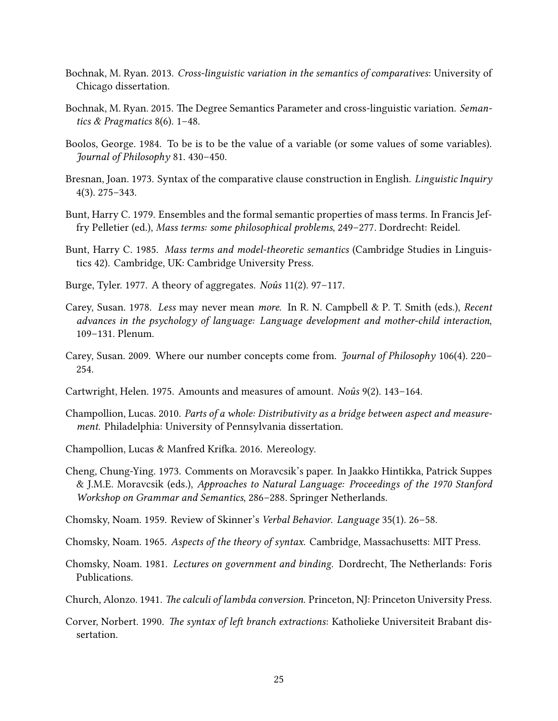- <span id="page-24-10"></span>Bochnak, M. Ryan. 2013. Cross-linguistic variation in the semantics of comparatives: University of Chicago dissertation.
- <span id="page-24-11"></span>Bochnak, M. Ryan. 2015. The Degree Semantics Parameter and cross-linguistic variation. Semantics & Pragmatics 8(6). 1–48.
- <span id="page-24-8"></span>Boolos, George. 1984. To be is to be the value of a variable (or some values of some variables). Journal of Philosophy 81. 430–450.
- <span id="page-24-0"></span>Bresnan, Joan. 1973. Syntax of the comparative clause construction in English. Linguistic Inquiry 4(3). 275–343.
- <span id="page-24-5"></span>Bunt, Harry C. 1979. Ensembles and the formal semantic properties of mass terms. In Francis Jeffry Pelletier (ed.), Mass terms: some philosophical problems, 249–277. Dordrecht: Reidel.
- <span id="page-24-6"></span>Bunt, Harry C. 1985. Mass terms and model-theoretic semantics (Cambridge Studies in Linguistics 42). Cambridge, UK: Cambridge University Press.
- <span id="page-24-4"></span>Burge, Tyler. 1977. A theory of aggregates. No $\hat{u}$ s 11(2). 97–117.
- <span id="page-24-12"></span>Carey, Susan. 1978. Less may never mean more. In R. N. Campbell & P. T. Smith (eds.), Recent advances in the psychology of language: Language development and mother-child interaction, 109–131. Plenum.
- <span id="page-24-15"></span>Carey, Susan. 2009. Where our number concepts come from. Journal of Philosophy 106(4). 220– 254.
- <span id="page-24-3"></span>Cartwright, Helen. 1975. Amounts and measures of amount. Noûs 9(2). 143-164.
- <span id="page-24-7"></span>Champollion, Lucas. 2010. Parts of a whole: Distributivity as a bridge between aspect and measurement. Philadelphia: University of Pennsylvania dissertation.
- <span id="page-24-9"></span>Champollion, Lucas & Manfred Krifka. 2016. Mereology.
- <span id="page-24-2"></span>Cheng, Chung-Ying. 1973. Comments on Moravcsik's paper. In Jaakko Hintikka, Patrick Suppes & J.M.E. Moravcsik (eds.), Approaches to Natural Language: Proceedings of the 1970 Stanford Workshop on Grammar and Semantics, 286–288. Springer Netherlands.
- <span id="page-24-14"></span>Chomsky, Noam. 1959. Review of Skinner's Verbal Behavior. Language 35(1). 26–58.
- <span id="page-24-13"></span>Chomsky, Noam. 1965. Aspects of the theory of syntax. Cambridge, Massachusetts: MIT Press.
- <span id="page-24-17"></span>Chomsky, Noam. 1981. Lectures on government and binding. Dordrecht, The Netherlands: Foris Publications.
- <span id="page-24-16"></span>Church, Alonzo. 1941. *The calculi of lambda conversion*. Princeton, NJ: Princeton University Press.
- <span id="page-24-1"></span>Corver, Norbert. 1990. The syntax of left branch extractions: Katholieke Universiteit Brabant dissertation.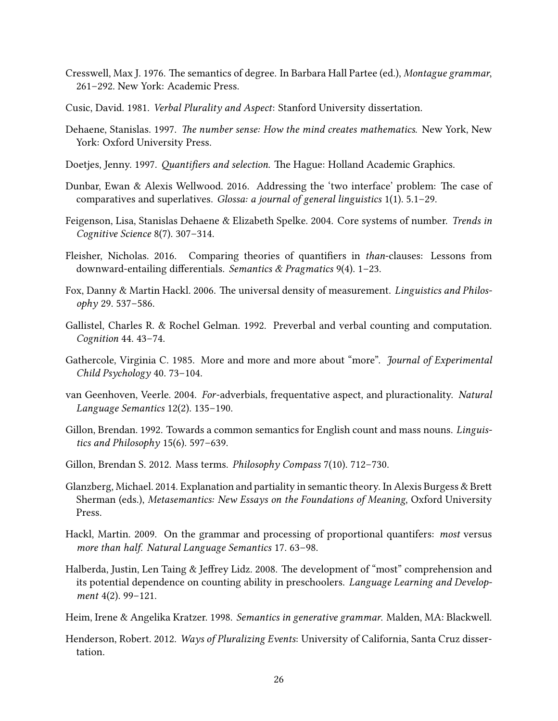- <span id="page-25-0"></span>Cresswell, Max J. 1976. The semantics of degree. In Barbara Hall Partee (ed.), Montague grammar, 261–292. New York: Academic Press.
- <span id="page-25-5"></span>Cusic, David. 1981. Verbal Plurality and Aspect: Stanford University dissertation.
- <span id="page-25-13"></span>Dehaene, Stanislas. 1997. The number sense: How the mind creates mathematics. New York, New York: Oxford University Press.
- <span id="page-25-2"></span>Doetjes, Jenny. 1997. Quantifiers and selection. The Hague: Holland Academic Graphics.
- <span id="page-25-1"></span>Dunbar, Ewan & Alexis Wellwood. 2016. Addressing the 'two interface' problem: The case of comparatives and superlatives. Glossa: a journal of general linguistics 1(1). 5.1–29.
- <span id="page-25-14"></span>Feigenson, Lisa, Stanislas Dehaene & Elizabeth Spelke. 2004. Core systems of number. Trends in Cognitive Science 8(7). 307–314.
- <span id="page-25-7"></span>Fleisher, Nicholas. 2016. Comparing theories of quantifiers in *than-clauses: Lessons from* downward-entailing differentials. Semantics & Pragmatics  $9(4)$ . 1–23.
- <span id="page-25-16"></span>Fox, Danny & Martin Hackl. 2006. The universal density of measurement. Linguistics and Philosophy 29. 537–586.
- <span id="page-25-15"></span>Gallistel, Charles R. & Rochel Gelman. 1992. Preverbal and verbal counting and computation. Cognition 44. 43–74.
- <span id="page-25-9"></span>Gathercole, Virginia C. 1985. More and more and more about "more". Journal of Experimental Child Psychology 40. 73–104.
- <span id="page-25-4"></span>van Geenhoven, Veerle. 2004. For-adverbials, frequentative aspect, and pluractionality. Natural Language Semantics 12(2). 135–190.
- <span id="page-25-3"></span>Gillon, Brendan. 1992. Towards a common semantics for English count and mass nouns. Linguistics and Philosophy 15(6). 597–639.
- <span id="page-25-10"></span>Gillon, Brendan S. 2012. Mass terms. Philosophy Compass 7(10). 712–730.
- <span id="page-25-11"></span>Glanzberg, Michael. 2014. Explanation and partiality in semantic theory. In Alexis Burgess & Brett Sherman (eds.), Metasemantics: New Essays on the Foundations of Meaning, Oxford University Press.
- <span id="page-25-17"></span>Hackl, Martin. 2009. On the grammar and processing of proportional quantifers: most versus more than half. Natural Language Semantics 17. 63–98.
- <span id="page-25-12"></span>Halberda, Justin, Len Taing & Jeffrey Lidz. 2008. The development of "most" comprehension and its potential dependence on counting ability in preschoolers. Language Learning and Development 4(2). 99–121.
- <span id="page-25-8"></span>Heim, Irene & Angelika Kratzer. 1998. Semantics in generative grammar. Malden, MA: Blackwell.
- <span id="page-25-6"></span>Henderson, Robert. 2012. Ways of Pluralizing Events: University of California, Santa Cruz dissertation.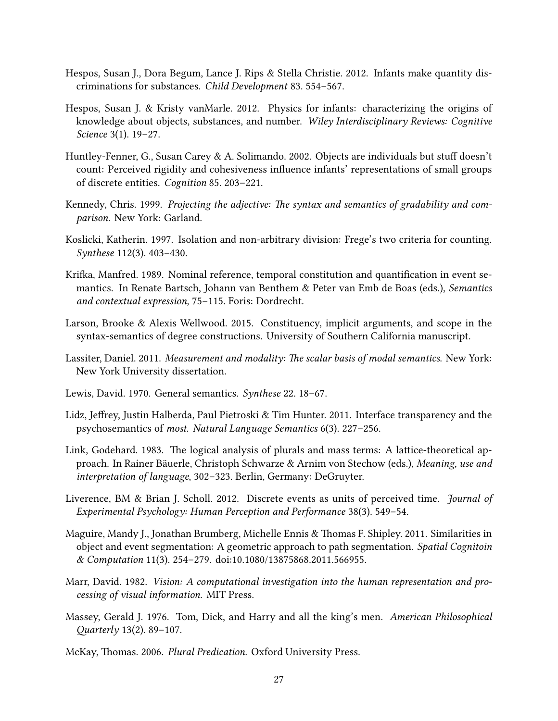- <span id="page-26-7"></span>Hespos, Susan J., Dora Begum, Lance J. Rips & Stella Christie. 2012. Infants make quantity discriminations for substances. Child Development 83. 554–567.
- <span id="page-26-9"></span>Hespos, Susan J. & Kristy vanMarle. 2012. Physics for infants: characterizing the origins of knowledge about objects, substances, and number. Wiley Interdisciplinary Reviews: Cognitive Science 3(1). 19–27.
- <span id="page-26-6"></span>Huntley-Fenner, G., Susan Carey & A. Solimando. 2002. Objects are individuals but stuff doesn't count: Perceived rigidity and cohesiveness influence infants' representations of small groups of discrete entities. Cognition 85. 203–221.
- <span id="page-26-12"></span>Kennedy, Chris. 1999. Projecting the adjective: The syntax and semantics of gradability and comparison. New York: Garland.
- <span id="page-26-8"></span>Koslicki, Katherin. 1997. Isolation and non-arbitrary division: Frege's two criteria for counting. Synthese 112(3). 403–430.
- <span id="page-26-2"></span>Krifka, Manfred. 1989. Nominal reference, temporal constitution and quantification in event semantics. In Renate Bartsch, Johann van Benthem & Peter van Emb de Boas (eds.), Semantics and contextual expression, 75–115. Foris: Dordrecht.
- <span id="page-26-5"></span>Larson, Brooke & Alexis Wellwood. 2015. Constituency, implicit arguments, and scope in the syntax-semantics of degree constructions. University of Southern California manuscript.
- <span id="page-26-3"></span>Lassiter, Daniel. 2011. Measurement and modality: The scalar basis of modal semantics. New York: New York University dissertation.
- <span id="page-26-14"></span>Lewis, David. 1970. General semantics. Synthese 22. 18–67.
- <span id="page-26-13"></span>Lidz, Jeffrey, Justin Halberda, Paul Pietroski & Tim Hunter. 2011. Interface transparency and the psychosemantics of most. Natural Language Semantics 6(3). 227–256.
- <span id="page-26-1"></span>Link, Godehard. 1983. The logical analysis of plurals and mass terms: A lattice-theoretical approach. In Rainer Bäuerle, Christoph Schwarze & Arnim von Stechow (eds.), Meaning, use and interpretation of language, 302–323. Berlin, Germany: DeGruyter.
- <span id="page-26-10"></span>Liverence, BM & Brian J. Scholl. 2012. Discrete events as units of perceived time. *Journal of* Experimental Psychology: Human Perception and Performance 38(3). 549–54.
- <span id="page-26-11"></span>Maguire, Mandy J., Jonathan Brumberg, Michelle Ennis & Thomas F. Shipley. 2011. Similarities in object and event segmentation: A geometric approach to path segmentation. Spatial Cognitoin & Computation 11(3). 254–279. doi:10.1080/13875868.2011.566955.
- <span id="page-26-15"></span>Marr, David. 1982. Vision: A computational investigation into the human representation and processing of visual information. MIT Press.
- <span id="page-26-0"></span>Massey, Gerald J. 1976. Tom, Dick, and Harry and all the king's men. American Philosophical Quarterly 13(2). 89-107.
- <span id="page-26-4"></span>McKay, Thomas. 2006. Plural Predication. Oxford University Press.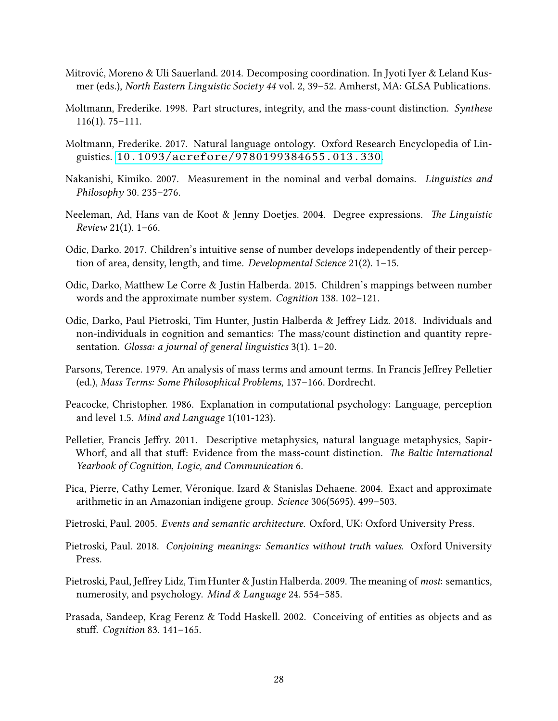- <span id="page-27-4"></span>Mitrovic, Moreno & Uli Sauerland. 2014. Decomposing coordination. In Jyoti Iyer & Leland Kus- ´ mer (eds.), North Eastern Linguistic Society 44 vol. 2, 39–52. Amherst, MA: GLSA Publications.
- <span id="page-27-7"></span>Moltmann, Frederike. 1998. Part structures, integrity, and the mass-count distinction. Synthese 116(1). 75–111.
- <span id="page-27-13"></span>Moltmann, Frederike. 2017. Natural language ontology. Oxford Research Encyclopedia of Linguistics. <10.1093/acrefore/9780199384655.013.330>.
- <span id="page-27-2"></span>Nakanishi, Kimiko. 2007. Measurement in the nominal and verbal domains. Linguistics and Philosophy 30. 235–276.
- <span id="page-27-5"></span>Neeleman, Ad, Hans van de Koot & Jenny Doetjes. 2004. Degree expressions. The Linguistic Review 21(1). 1–66.
- <span id="page-27-6"></span>Odic, Darko. 2017. Children's intuitive sense of number develops independently of their perception of area, density, length, and time. Developmental Science 21(2). 1–15.
- <span id="page-27-10"></span>Odic, Darko, Matthew Le Corre & Justin Halberda. 2015. Children's mappings between number words and the approximate number system. Cognition 138. 102–121.
- <span id="page-27-9"></span>Odic, Darko, Paul Pietroski, Tim Hunter, Justin Halberda & Jeffrey Lidz. 2018. Individuals and non-individuals in cognition and semantics: The mass/count distinction and quantity representation. Glossa: a journal of general linguistics 3(1). 1–20.
- <span id="page-27-1"></span>Parsons, Terence. 1979. An analysis of mass terms and amount terms. In Francis Jeffrey Pelletier (ed.), Mass Terms: Some Philosophical Problems, 137–166. Dordrecht.
- <span id="page-27-15"></span>Peacocke, Christopher. 1986. Explanation in computational psychology: Language, perception and level 1.5. Mind and Language 1(101-123).
- <span id="page-27-12"></span>Pelletier, Francis Jeffry. 2011. Descriptive metaphysics, natural language metaphysics, Sapir-Whorf, and all that stuff: Evidence from the mass-count distinction. The Baltic International Yearbook of Cognition, Logic, and Communication 6.
- <span id="page-27-14"></span>Pica, Pierre, Cathy Lemer, Véronique. Izard  $\&$  Stanislas Dehaene. 2004. Exact and approximate arithmetic in an Amazonian indigene group. Science 306(5695). 499–503.
- <span id="page-27-3"></span>Pietroski, Paul. 2005. Events and semantic architecture. Oxford, UK: Oxford University Press.
- <span id="page-27-0"></span>Pietroski, Paul. 2018. Conjoining meanings: Semantics without truth values. Oxford University Press.
- <span id="page-27-11"></span>Pietroski, Paul, Jeffrey Lidz, Tim Hunter & Justin Halberda. 2009. The meaning of most: semantics, numerosity, and psychology. Mind & Language 24. 554–585.
- <span id="page-27-8"></span>Prasada, Sandeep, Krag Ferenz & Todd Haskell. 2002. Conceiving of entities as objects and as stuff. Cognition 83. 141-165.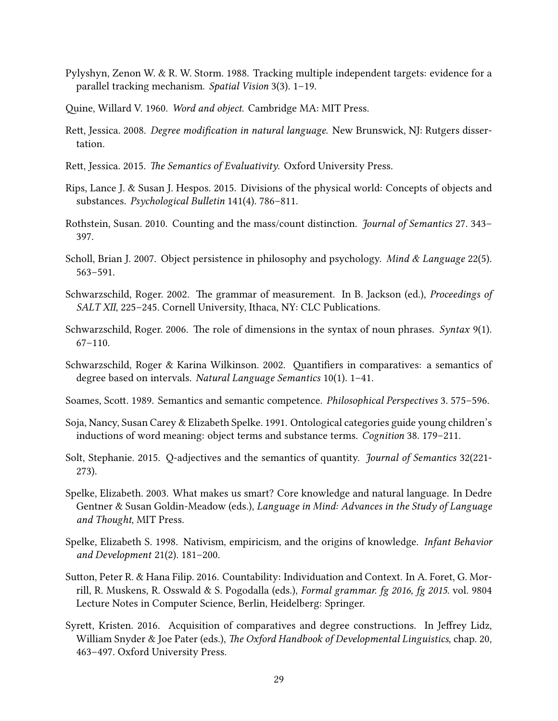- <span id="page-28-11"></span>Pylyshyn, Zenon W. & R. W. Storm. 1988. Tracking multiple independent targets: evidence for a parallel tracking mechanism. Spatial Vision 3(3). 1–19.
- <span id="page-28-4"></span>Quine, Willard V. 1960. Word and object. Cambridge MA: MIT Press.
- <span id="page-28-1"></span>Rett, Jessica. 2008. Degree modification in natural language. New Brunswick, NJ: Rutgers dissertation.
- <span id="page-28-2"></span>Rett, Jessica. 2015. The Semantics of Evaluativity. Oxford University Press.
- <span id="page-28-12"></span>Rips, Lance J. & Susan J. Hespos. 2015. Divisions of the physical world: Concepts of objects and substances. Psychological Bulletin 141(4). 786–811.
- <span id="page-28-5"></span>Rothstein, Susan. 2010. Counting and the mass/count distinction. *Journal of Semantics* 27. 343– 397.
- <span id="page-28-16"></span>Scholl, Brian J. 2007. Object persistence in philosophy and psychology. *Mind & Language* 22(5). 563–591.
- <span id="page-28-7"></span>Schwarzschild, Roger. 2002. The grammar of measurement. In B. Jackson (ed.), *Proceedings of* SALT XII, 225-245. Cornell University, Ithaca, NY: CLC Publications.
- <span id="page-28-8"></span>Schwarzschild, Roger. 2006. The role of dimensions in the syntax of noun phrases. Syntax 9(1). 67–110.
- <span id="page-28-9"></span>Schwarzschild, Roger & Karina Wilkinson. 2002. Quantifiers in comparatives: a semantics of degree based on intervals. Natural Language Semantics 10(1). 1–41.
- <span id="page-28-0"></span>Soames, Scott. 1989. Semantics and semantic competence. *Philosophical Perspectives* 3. 575–596.
- <span id="page-28-13"></span>Soja, Nancy, Susan Carey & Elizabeth Spelke. 1991. Ontological categories guide young children's inductions of word meaning: object terms and substance terms. Cognition 38. 179–211.
- <span id="page-28-3"></span>Solt, Stephanie. 2015. Q-adjectives and the semantics of quantity. Journal of Semantics 32(221- 273).
- <span id="page-28-15"></span>Spelke, Elizabeth. 2003. What makes us smart? Core knowledge and natural language. In Dedre Gentner & Susan Goldin-Meadow (eds.), Language in Mind: Advances in the Study of Language and Thought, MIT Press.
- <span id="page-28-14"></span>Spelke, Elizabeth S. 1998. Nativism, empiricism, and the origins of knowledge. Infant Behavior and Development 21(2). 181–200.
- <span id="page-28-6"></span>Sutton, Peter R. & Hana Filip. 2016. Countability: Individuation and Context. In A. Foret, G. Morrill, R. Muskens, R. Osswald & S. Pogodalla (eds.), Formal grammar. fg 2016, fg 2015. vol. 9804 Lecture Notes in Computer Science, Berlin, Heidelberg: Springer.
- <span id="page-28-10"></span>Syrett, Kristen. 2016. Acquisition of comparatives and degree constructions. In Jeffrey Lidz, William Snyder & Joe Pater (eds.), The Oxford Handbook of Developmental Linguistics, chap. 20, 463–497. Oxford University Press.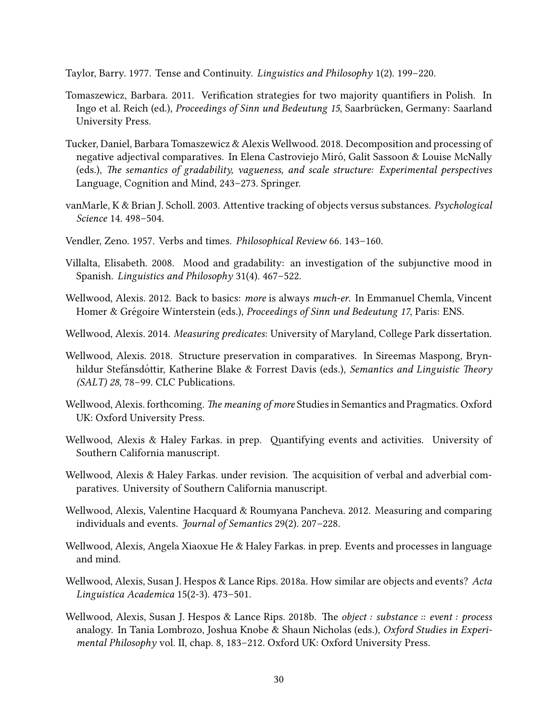<span id="page-29-11"></span>Taylor, Barry. 1977. Tense and Continuity. Linguistics and Philosophy 1(2). 199–220.

- <span id="page-29-15"></span>Tomaszewicz, Barbara. 2011. Verification strategies for two majority quantifiers in Polish. In Ingo et al. Reich (ed.), *Proceedings of Sinn und Bedeutung 15*, Saarbrücken, Germany: Saarland University Press.
- <span id="page-29-14"></span>Tucker, Daniel, Barbara Tomaszewicz & Alexis Wellwood. 2018. Decomposition and processing of negative adjectival comparatives. In Elena Castroviejo Miró, Galit Sassoon & Louise McNally (eds.), The semantics of gradability, vagueness, and scale structure: Experimental perspectives Language, Cognition and Mind, 243–273. Springer.
- <span id="page-29-8"></span>vanMarle, K & Brian J. Scholl. 2003. Attentive tracking of objects versus substances. Psychological Science 14. 498–504.
- <span id="page-29-7"></span>Vendler, Zeno. 1957. Verbs and times. Philosophical Review 66. 143–160.
- <span id="page-29-4"></span>Villalta, Elisabeth. 2008. Mood and gradability: an investigation of the subjunctive mood in Spanish. Linguistics and Philosophy 31(4). 467–522.
- <span id="page-29-3"></span>Wellwood, Alexis. 2012. Back to basics: more is always much-er. In Emmanuel Chemla, Vincent Homer & Grégoire Winterstein (eds.), Proceedings of Sinn und Bedeutung 17, Paris: ENS.
- <span id="page-29-1"></span>Wellwood, Alexis. 2014. Measuring predicates: University of Maryland, College Park dissertation.
- <span id="page-29-0"></span>Wellwood, Alexis. 2018. Structure preservation in comparatives. In Sireemas Maspong, Brynhildur Stefánsdóttir, Katherine Blake & Forrest Davis (eds.), Semantics and Linguistic Theory (SALT) 28, 78–99. CLC Publications.
- <span id="page-29-2"></span>Wellwood, Alexis. forthcoming. The meaning of more Studies in Semantics and Pragmatics. Oxford UK: Oxford University Press.
- <span id="page-29-12"></span>Wellwood, Alexis & Haley Farkas. in prep. Quantifying events and activities. University of Southern California manuscript.
- <span id="page-29-6"></span>Wellwood, Alexis  $\&$  Haley Farkas. under revision. The acquisition of verbal and adverbial comparatives. University of Southern California manuscript.
- <span id="page-29-5"></span>Wellwood, Alexis, Valentine Hacquard & Roumyana Pancheva. 2012. Measuring and comparing individuals and events. Journal of Semantics 29(2). 207–228.
- <span id="page-29-13"></span>Wellwood, Alexis, Angela Xiaoxue He & Haley Farkas. in prep. Events and processes in language and mind.
- <span id="page-29-9"></span>Wellwood, Alexis, Susan J. Hespos & Lance Rips. 2018a. How similar are objects and events? Acta Linguistica Academica 15(2-3). 473–501.
- <span id="page-29-10"></span>Wellwood, Alexis, Susan J. Hespos & Lance Rips. 2018b. The *object : substance*  $\therefore$  *event : process* analogy. In Tania Lombrozo, Joshua Knobe & Shaun Nicholas (eds.), Oxford Studies in Experimental Philosophy vol. II, chap. 8, 183–212. Oxford UK: Oxford University Press.